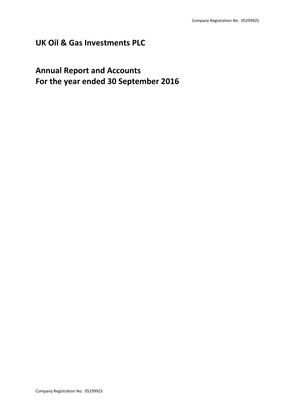# **UK Oil & Gas Investments PLC**

**Annual Report and Accounts For the year ended 30 September 2016**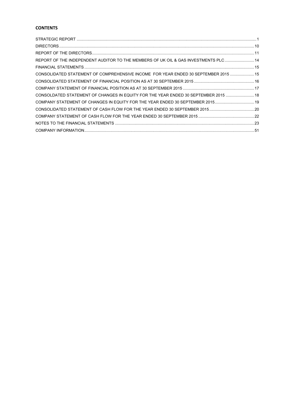# **CONTENTS**

| REPORT OF THE INDEPENDENT AUDITOR TO THE MEMBERS OF UK OIL & GAS INVESTMENTS PLC 14 |  |
|-------------------------------------------------------------------------------------|--|
|                                                                                     |  |
| CONSOLIDATED STATEMENT OF COMPREHENSIVE INCOME FOR YEAR ENDED 30 SEPTEMBER 2015  15 |  |
|                                                                                     |  |
|                                                                                     |  |
| CONSOLDATED STATEMENT OF CHANGES IN EQUITY FOR THE YEAR ENDED 30 SEPTEMBER 2015  18 |  |
| COMPANY STATEMENT OF CHANGES IN EQUITY FOR THE YEAR ENDED 30 SEPTEMBER 2015 19      |  |
|                                                                                     |  |
|                                                                                     |  |
|                                                                                     |  |
|                                                                                     |  |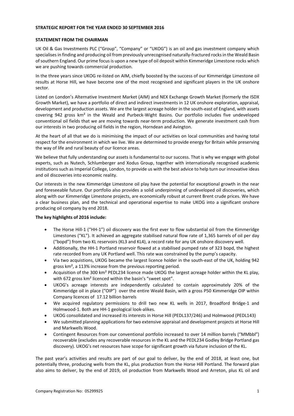#### **STRATEGIC REPORT FOR THE YEAR ENDED 30 SEPTEMBER 2016**

## **STATEMENT FROM THE CHAIRMAN**

UK Oil & Gas Investments PLC ("Group", "Company" or "UKOG") is an oil and gas investment company which specialises in finding and producing oil from previously unrecognised naturally-fractured rocks in the Weald Basin of southern England. Our prime focus is upon a new type of oil deposit within Kimmeridge Limestone rocks which we are pushing towards commercial production.

In the three years since UKOG re‐listed on AIM, chiefly boosted by the success of our Kimmeridge Limestone oil results at Horse Hill, we have become one of the most recognised and significant players in the UK onshore sector.

Listed on London's Alternative Investment Market (AIM) and NEX Exchange Growth Market (formerly the ISDX Growth Market), we have a portfolio of direct and indirect investments in 12 UK onshore exploration, appraisal, development and production assets. We are the largest acreage holder in the south‐east of England, with assets covering 942 gross km<sup>2</sup> in the Weald and Purbeck-Wight Basins. Our portfolio includes five undeveloped conventional oil fields that we are moving towards near-term production. We generate investment cash from our interests in two producing oil fields in the region, Horndean and Avington.

At the heart of all that we do is minimising the impact of our activities on local communities and having total respect for the environment in which we live. We are determined to provide energy for Britain while preserving the way of life and rural beauty of our licence areas.

We believe that fully understanding our assets is fundamental to our success. That is why we engage with global experts, such as Nutech, Schlumberger and Xodus Group, together with internationally recognised academic institutions such as Imperial College, London, to provide us with the best advice to help turn our innovative ideas and oil discoveries into economic reality.

Our interests in the new Kimmeridge Limestone oil play have the potential for exceptional growth in the near and foreseeable future. Our portfolio also provides a solid underpinning of undeveloped oil discoveries, which along with our Kimmeridge Limestone projects, are economically robust at current Brent crude prices. We have a clear business plan, and the technical and operational expertise to make UKOG into a significant onshore producing oil company by end 2018.

## **The key highlights of 2016 include:**

- The Horse Hill-1 ("HH-1") oil discovery was the first ever to flow substantial oil from the Kimmeridge Limestones ("KL"). It achieved an aggregate stabilised natural flow rate of 1,365 barrels of oil per day ("bopd") from two KL reservoirs (KL3 and KL4), a record rate for any UK onshore discovery well.
- Additionally, the HH‐1 Portland reservoir flowed at a stabilised pumped rate of 323 bopd, the highest rate recorded from any UK Portland well. This rate was constrained by the pump's capacity.
- Via two acquistions, UKOG became the largest licence holder in the south-east of the UK, holding 942 gross km², a 113% increase from the previous reporting period.
- Acquisition of the 300 km² PEDL234 licence made UKOG the largest acreage holder within the KL play, with 672 gross km<sup>2</sup> licenced within the basin's "sweet spot".
- UKOG's acreage interests are independently calculated to contain approximately 20% of the Kimmeridge oil in place ("OIP") over the entire Weald Basin, with a gross P50 Kimmeridge OIP within Company licences of 17.12 billion barrels
- We acquired regulatory permissions to drill two new KL wells in 2017, Broadford Bridge-1 and Holmwood‐1. Both are HH‐1 geological look‐alikes.
- UKOG consolidated and increased its interests in Horse Hill (PEDL137/246) and Holmwood (PEDL143)
- We submitted planning applications for two extensive appraisal and development projects at Horse Hill and Markwells Wood.
- Contingent Resources from our conventional portfolio increased to over 14 million barrels ("MMbbl") recoverable (excludes any recoverable resources in the KL and the PEDL234 Godley Bridge Portland gas discovery). UKOG's net resources have scope for significant growth via future inclusion of the KL.

The past year's activities and results are part of our goal to deliver, by the end of 2018, at least one, but potentially three, producing wells from the KL, plus production from the Horse Hill Portland. The forward plan also aims to deliver, by the end of 2019, oil production from Markwells Wood and Arreton, plus KL oil and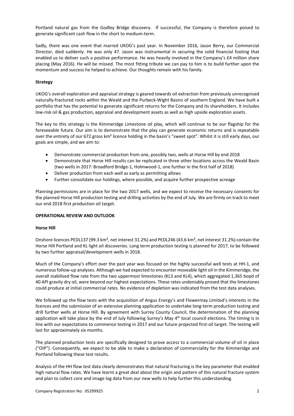Portland natural gas from the Godley Bridge discovery. If successful, the Company is therefore poised to generate significant cash flow in the short to medium‐term.

Sadly, there was one event that marred UKOG's past year. In November 2016, Jason Berry, our Commercial Director, died suddenly. He was only 47. Jason was instrumental in securing the solid financial footing that enabled us to deliver such a positive performance. He was heavily involved in the Company's £4 million share placing (May 2016). He will be missed. The most fitting tribute we can pay to him is to build further upon the momentum and success he helped to achieve. Our thoughts remain with his family.

## **Strategy**

UKOG's overall exploration and appraisal strategy is geared towards oil extraction from previously unrecognised naturally‐fractured rocks within the Weald and the Purbeck‐Wight Basins of southern England. We have built a portfolio that has the potential to generate significant returns for the Company and its shareholders. It includes low-risk oil & gas production, appraisal and development assets as well as high upside exploration assets.

The key to this strategy is the Kimmeridge Limestone oil play, which will continue to be our flagship for the foreseeable future. Our aim is to demonstrate that the play can generate economic returns and is repeatable over the entirety of our 672 gross km<sup>2</sup> licence holding in the basin's "sweet spot". Whilst it is still early days, our goals are simple, and we aim to:

- Demonstrate commercial production from one, possibly two, wells at Horse Hill by end 2018
- Demonstrate that Horse Hill results can be replicated in three other locations across the Weald Basin (two wells in 2017: Broadford Bridge‐1, Holmwood‐1, one further in the first half of 2018)
- Deliver production from each well as early as permitting allows
- Further consolidate our holdings, where possible, and acquire further prospective acreage

Planning permissions are in place for the two 2017 wells, and we expect to receive the necessary consents for the planned Horse Hill production testing and drilling activities by the end of July. We are firmly on track to meet our end 2018 first production oil target.

## **OPERATIONAL REVIEW AND OUTLOOK**

## **Horse Hill**

Onshore licences PEDL137 (99.3 km², net interest 31.2%) and PEDL246 (43.6 km², net interest 31.2%) contain the Horse Hill Portland and KL light oil discoveries. Long term production testing is planned for 2017, to be followed by two further appraisal/development wells in 2018.

Much of the Company's effort over the past year was focused on the highly successful well tests at HH‐1, and numerous follow‐up analyses. Although we had expected to encounter moveable light oil in the Kimmeridge, the overall stabilised flow rate from the two uppermost limestones (KL3 and KL4), which aggregated 1,365 bopd of 40 API gravity dry oil, were beyond our highest expectations. These rates undeniably proved that the limestones could produce at initial commercial rates. No evidence of depletion was indicated from the test data analyses.

We followed up the flow tests with the acquisition of Angus Energy's and Flowermay Limited's interests in the licences and the submission of an extensive planning application to undertake long‐term production testing and drill further wells at Horse Hill. By agreement with Surrey County Council, the determination of the planning application will take place by the end of July following Surrey's May  $4<sup>th</sup>$  local council elections. The timing is in line with our expectations to commence testing in 2017 and our future projected first-oil target. The testing will last for approximately six months.

The planned production tests are specifically designed to prove access to a commercial volume of oil in place ("OIP"). Consequently, we expect to be able to make a declaration of commerciality for the Kimmeridge and Portland following these test results.

Analysis of the HH flow test data clearly demonstrates that natural fracturing is the key parameter that enabled high natural flow rates. We have learnt a great deal about the origin and pattern of this natural fracture system and plan to collect core and image log data from our new wells to help further this understanding.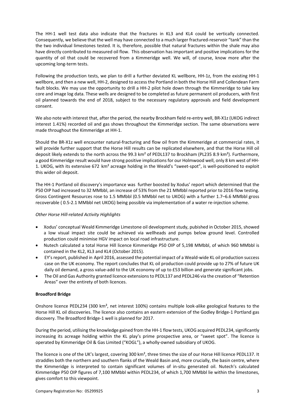The HH-1 well test data also indicate that the fractures in KL3 and KL4 could be vertically connected. Consequently, we believe that the well may have connected to a much larger fractured‐reservoir "tank" than the the two individual limestones tested. It is, therefore, possible that natural fractures within the shale may also have directly contributed to measured oil flow. This observation has important and positive implications for the quantity of oil that could be recovered from a Kimmeridge well. We will, of course, know more after the upcoming long‐term tests.

Following the production tests, we plan to drill a further deviated KL wellbore, HH-1z, from the existing HH-1 wellbore, and then a new well, HH‐2, designed to access the Portland in both the Horse Hill and Collendean Farm fault blocks. We may use the opportunity to drill a HH‐2 pilot hole down through the Kimmeridge to take key core and image log data. These wells are designed to be completed as future permanent oil producers, with first oil planned towards the end of 2018, subject to the necessary regulatory approvals and field development consent.

We also note with interest that, after the period, the nearby Brockham field re-entry well, BR-X1z (UKOG indirect interest 1.41%) recorded oil and gas shows throughout the Kimmeridge section. The same observations were made throughout the Kimmeridge at HH‐1.

Should the BR‐X1z well encounter natural‐fracturing and flow oil from the Kimmeridge at commercial rates, it will provide further support that the Horse Hill results can be replicated elsewhere, and that the Horse Hill oil deposit likely extends to the north across the 99.3 km<sup>2</sup> of PEDL137 to Brockham (PL235 8.9 km<sup>2</sup>). Furthermore, a good Kimmeridge result would have strong positive implications for our Holmwood well, only 8 km west of HH‐ 1. UKOG, with its extensive 672 km² acreage holding in the Weald's "sweet‐spot", is well‐positioned to exploit this wider oil deposit.

The HH-1 Portland oil discovery's importance was further boosted by Xodus' report which determined that the P50 OIP had increased to 32 MMbbl, an increase of 53% from the 21 MMbbl reported prior to 2016 flow testing. Gross Contingent Resources rose to 1.5 MMbbl (0.5 MMbbl net to UKOG) with a further 1.7–6.6 MMbbl gross recoverable (0.5-2.1 MMbbl net UKOG) being possible via implementation of a water re-injection scheme.

# *Other Horse Hill‐related Activity Highlights*

- Xodus' conceptual Weald Kimmeridge Limestone oil development study, pubished in October 2015, showed a low visual impact site could be achieved via wellheads and pumps below ground level. Controlled production could minimise HGV impact on local road infrastructure.
- Nutech calculated a total Horse Hill licence Kimmeridge P50 OIP of 5,198 MMbbl, of which 960 MMbbl is contained in the KL2, KL3 and KL4 (October 2015).
- EY's report, published in April 2016, assessed the potential impact of a Weald‐wide KL oil production success case on the UK economy. The report concludes that KL oil production could provide up to 27% of future UK daily oil demand, a gross value‐add to the UK economy of up to £53 billion and generate significant jobs.
- The Oil and Gas Authority granted licence extensions to PEDL137 and PEDL246 via the creation of "Retention Areas" over the entirety of both licences.

# **Broadford Bridge**

Onshore licence PEDL234 (300 km², net interest 100%) contains multiple look‐alike geological features to the Horse Hill KL oil discoveries. The licence also contains an eastern extension of the Godley Bridge‐1 Portland gas discovery. The Broadford Bridge‐1 well is planned for 2017.

During the period, utilising the knowledge gained from the HH‐1 flow tests, UKOG acquired PEDL234, significantly increasing its acreage holding within the KL play's prime prospective area, or "sweet spot". The licence is operated by Kimmeridge Oil & Gas Limited ("KOGL"), a wholly‐owned subsidiary of UKOG.

The licence is one of the UK's largest, covering 300 km², three times the size of our Horse Hill licence PEDL137. It straddles both the northern and southern flanks of the Weald Basin and, more crucially, the basin centre, where the Kimmeridge is interpreted to contain significant volumes of in‐situ generated oil. Nutech's calculated Kimmeridge P50 OIP figures of 7,100 MMbbl within PEDL234, of which 1,700 MMbbl lie within the limestones, gives comfort to this viewpoint.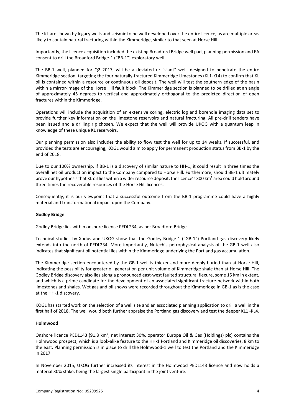The KL are shown by legacy wells and seismic to be well developed over the entire licence, as are multiple areas likely to contain natural fracturing within the Kimmeridge, similar to that seen at Horse Hill.

Importantly, the licence acquisition included the existing Broadford Bridge well pad, planning permission and EA consent to drill the Broadford Bridge‐1 ("BB‐1") exploratory well.

The BB-1 well, planned for Q2 2017, will be a deviated or "slant" well, designed to penetrate the entire Kimmeridge section, targeting the four naturally-fractured Kimmeridge Limestones (KL1-KL4) to confirm that KL oil is contained within a resource or continuous oil deposit. The well will test the southern edge of the basin within a mirror-image of the Horse Hill fault block. The Kimmeridge section is planned to be drilled at an angle of approximately 45 degrees to vertical and approximately orthogonal to the predicted direction of open fractures within the Kimmeridge.

Operations will include the acquisition of an extensive coring, electric log and borehole imaging data set to provide further key information on the limestone reservoirs and natural fracturing. All pre‐drill tenders have been issued and a drilling rig chosen. We expect that the well will provide UKOG with a quantum leap in knowledge of these unique KL reservoirs.

Our planning permission also includes the ability to flow test the well for up to 14 weeks. If successful, and provided the tests are encouraging, KOGL would aim to apply for permanent production status from BB‐1 by the end of 2018.

Due to our 100% ownership, if BB‐1 is a discovery of similar nature to HH‐1, it could result in three times the overall net oil production impact to the Company compared to Horse Hill. Furthermore, should BB‐1 ultimately prove our hypothesis that KL oil lies within a wider resource deposit, the licence's 300 km² area could hold around three times the recoverable resources of the Horse Hill licences.

Consequently, it is our viewpoint that a successful outcome from the BB-1 programme could have a highly material and transformational impact upon the Company.

## **Godley Bridge**

Godley Bridge lies within onshore licence PEDL234, as per Broadford Bridge.

Technical studies by Xodus and UKOG show that the Godley Bridge-1 ("GB-1") Portland gas discovery likely extends into the north of PEDL234. More importantly, Nutech's petrophysical analysis of the GB-1 well also indicates that significant oil potential lies within the Kimmeridge underlying the Portland gas accumulation.

The Kimmeridge section encountered by the GB-1 well is thicker and more deeply buried than at Horse Hill, indicating the possibility for greater oil generation per unit volume of Kimmeridge shale than at Horse Hill. The Godley Bridge discovery also lies along a pronounced east‐west faulted structural flexure, some 15 km in extent, and which is a prime candidate for the development of an associated significant fracture‐network within both limestones and shales. Wet gas and oil shows were recorded throughout the Kimmeridge in GB‐1 as is the case at the HH‐1 discovery.

KOGL has started work on the selection of a well site and an associated planning application to drill a well in the first half of 2018. The well would both further appraise the Portland gas discovery and test the deeper KL1 ‐KL4.

## **Holmwood**

Onshore licence PEDL143 (91.8 km², net interest 30%, operator Europa Oil & Gas (Holdings) plc) contains the Holmwood prospect, which is a look‐alike feature to the HH‐1 Portland and Kimmeridge oil discoveries, 8 km to the east. Planning permission is in place to drill the Holmwood‐1 well to test the Portland and the Kimmeridge in 2017.

In November 2015, UKOG further increased its interest in the Holmwood PEDL143 licence and now holds a material 30% stake, being the largest single participant in the joint venture.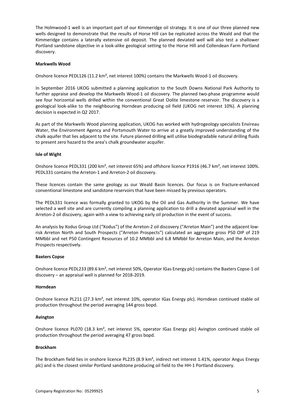The Holmwood‐1 well is an important part of our Kimmeridge oil strategy. It is one of our three planned new wells designed to demonstrate that the results of Horse Hill can be replicated across the Weald and that the Kimmeridge contains a laterally extensive oil deposit. The planned deviated well will also test a shallower Portland sandstone objective in a look‐alike geological setting to the Horse Hill and Collendean Farm Portland discovery.

#### **Markwells Wood**

Onshore licence PEDL126 (11.2 km², net interest 100%) contains the Markwells Wood‐1 oil discovery.

In September 2016 UKOG submitted a planning application to the South Downs National Park Authority to further appraise and develop the Markwells Wood-1 oil discovery. The planned two-phase programme would see four horizontal wells drilled within the conventional Great Oolite limestone reservoir. The discovery is a geological look-alike to the neighbouring Horndean producing oil field (UKOG net interest 10%). A planning decision is expected in Q2 2017.

As part of the Markwells Wood planning application, UKOG has worked with hydrogeology specialists Envireau Water, the Environment Agency and Portsmouth Water to arrive at a greatly improved understanding of the chalk aquifer that lies adjacent to the site. Future planned drilling will utilise biodegradable natural drilling fluids to present zero hazard to the area's chalk groundwater acquifer.

#### **Isle of Wight**

Onshore licence PEDL331 (200 km², net interest 65%) and offshore licence P1916 (46.7 km², net interest 100%. PEDL331 contains the Arreton‐1 and Arreton‐2 oil discovery.

These licences contain the same geology as our Weald Basin licences. Our focus is on fracture-enhanced conventional limestone and sandstone reservoirs that have been missed by previous operators.

The PEDL331 licence was formally granted to UKOG by the Oil and Gas Authority in the Summer. We have selected a well site and are currently compiling a planning application to drill a deviated appraisal well in the Arreton-2 oil discovery, again with a view to achieving early oil production in the event of success.

An analysis by Xodus Group Ltd ("Xodus") of the Arreton‐2 oil discovery ("Arreton Main") and the adjacent low‐ risk Arreton North and South Prospects ("Arreton Prospects") calculated an aggregate gross P50 OIP of 219 MMbbl and net P50 Contingent Resources of 10.2 MMbbl and 6.8 MMbbl for Arreton Main, and the Arreton Prospects respectively.

#### **Baxters Copse**

Onshore licence PEDL233 (89.6 km², net interest 50%, Operator IGas Energy plc) contains the Baxters Copse‐1 oil discovery – an appraisal well is planned for 2018‐2019.

#### **Horndean**

Onshore licence PL211 (27.3 km², net interest 10%, operator IGas Energy plc). Horndean continued stable oil production throughout the period averaging 144 gross bopd.

#### **Avington**

Onshore licence PL070 (18.3 km<sup>2</sup>, net interest 5%, operator IGas Energy plc) Avington continued stable oil production throughout the period averaging 47 gross bopd.

#### **Brockham**

The Brockham field lies in onshore licence PL235 (8.9 km², indirect net interest 1.41%, operator Angus Energy plc) and is the closest similar Portland sandstone producing oil field to the HH‐1 Portland discovery.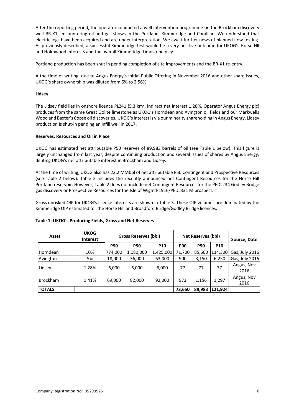After the reporting period, the operator conducted a well intervention programme on the Brockham discovery well BR-X1, encountering oil and gas shows in the Portland, Kimmeridge and Corallian. We understand that electric logs have been acquired and are under interpretation. We await further news of planned flow testing. As previously described, a successful Kimmeridge test would be a very positive outcome for UKOG's Horse Hll and Holmwood interests and the overall Kimmeridge Limestone play.

Portland production has been shut in pending completion of site improvements and the BR‐X1 re‐entry.

A the time of writing, due to Angus Energy's Initial Public Offering in November 2016 and other share issues, UKOG's share ownership was diluted from 6% to 2.56%.

## **Lidsey**

The Lidsey field lies in onshore licence PL241 (5.3 km², indirect net interest 1.28%, Operator Angus Energy plc) produces from the same Great Oolite limestone as UKOG's Horndean and Avington oil fields and our Markwells Wood and Baxter's Copse oil discoveries. UKOG's interest is via our minority shareholding in Angus Energy. Lidsey production is shut‐in pending an infill well in 2017.

#### **Reserves, Resources and Oil in Place**

UKOG has estimated net attributable P50 reserves of 89,983 barrels of oil (see Table 1 below). This figure is largely unchanged from last year, despite continuing production and several issues of shares by Angus Energy, diluting UKOG's net attributable interest in Brockham and Lidsey.

At the time of writing, UKOG also has 22.2 MMbbl of net attributable P50 Contingent and Prospective Resources (see Table 2 below). Table 2 includes the recently announced net Contingent Resources for the Horse Hill Portland reservoir. However, Table 2 does not include net Contingent Resources for the PEDL234 Godley Bridge gas discovery or Prospective Resources for the Isle of Wight P1916/PEDL331 M prospect.

Gross unrisked OIP for UKOG's licence interests are shown in Table 3. These OIP volumes are dominated by the Kimmeridge OIP estimated for the Horse Hill and Broadford Bridge/Godley Bridge licences.

| Asset           | <b>UKOG</b><br><b>Interest</b> | Gross Reserves (bbl) |            |            | <b>Net Reserves (bbl)</b> |            |            | Source, Date            |
|-----------------|--------------------------------|----------------------|------------|------------|---------------------------|------------|------------|-------------------------|
|                 |                                | <b>P90</b>           | <b>P50</b> | <b>P10</b> | <b>P90</b>                | <b>P50</b> | <b>P10</b> |                         |
| Horndean        | 10%                            | 774,000              | 1,180,000  | 1,425,000  | 71.700                    | 85,600     |            | 114,300 IGas, July 2016 |
| Avington        | 5%                             | 18,000               | 36,000     | 63,000     | 900                       | 3,150      | 6,250      | IGas, July 2016         |
| Lidsey          | 1.28%                          | 6,000                | 6,000      | 6,000      | 77                        | 77         | 77         | Angus, Nov<br>2016      |
| <b>Brockham</b> | 1.41%                          | 69,000               | 82,000     | 92,000     | 973                       | 1,156      | 1,297      | Angus, Nov<br>2016      |
| <b>TOTALS</b>   |                                |                      |            |            | 73,650                    | 89,983     | 121.924    |                         |

#### **Table 1: UKOG's Producing Fields, Gross and Net Reserves**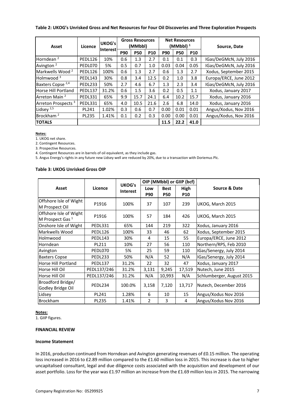#### **Table 2: UKOG's Unrisked Gross and Net Resources for Four Oil Discoveries and Three Exploration Prospects**

| Asset                          | Licence        | <b>UKOG's</b><br><b>Interest</b> |            | <b>Gross Resources</b><br>(MMbbl) |            | <b>Net Resources</b><br>$(MMbb)$ <sup>1</sup> |            |            | Source, Date           |
|--------------------------------|----------------|----------------------------------|------------|-----------------------------------|------------|-----------------------------------------------|------------|------------|------------------------|
|                                |                |                                  | <b>P90</b> | <b>P50</b>                        | <b>P10</b> | <b>P90</b>                                    | <b>P50</b> | <b>P10</b> |                        |
| Horndean <sup>2</sup>          | PEDL126        | 10%                              | 0.6        | 1.3                               | 2.7        | 0.1                                           | 0.1        | 0.3        | IGas/DeGMcN, July 2016 |
| Avington <sup>2</sup>          | PEDL070        | 5%                               | 0.5        | 0.7                               | 1.0        | 0.03                                          | 0.04       | 0.05       | IGas/DeGMcN, July 2016 |
| Markwells Wood <sup>2</sup>    | PEDL126        | 100%                             | 0.6        | 1.3                               | 2.7        | 0.6                                           | 1.3        | 2.7        | Xodus, September 2015  |
| Holmwood <sup>3</sup>          | PEDL143        | 30%                              | 0.8        | 3.4                               | 12.5       | 0.2                                           | 1.0        | 3.8        | Europa/ERCE, June 2012 |
| Baxters Copse <sup>2,4</sup>   | PEDL233        | 50%                              | 2.7        | 4.6                               | 6.7        | 1.3                                           | 2.3        | 3.4        | IGas/DeGMcN, July 2016 |
| Horse Hill Portland            | <b>PEDL137</b> | 31.2%                            | 0.6        | 1.5                               | 3.6        | 0.2                                           | 0.5        | 1.1        | Xodus, January 2017    |
| Arreton Main <sup>2</sup>      | PEDL331        | 65%                              | 9.9        | 15.7                              | 24.1       | 6.4                                           | 10.2       | 15.7       | Xodus, January 2016    |
| Arreton Prospects <sup>3</sup> | <b>PEDL331</b> | 65%                              | 4.0        | 10.5                              | 21.6       | 2.6                                           | 6.8        | 14.0       | Xodus, January 2016    |
| Lidsey $2,5$                   | PL241          | 1.02%                            | 0.3        | 0.6                               | 0.7        | 0.00                                          | 0.01       | 0.01       | Angus/Xodus, Nov 2016  |
| Brockham <sup>2</sup>          | PL235          | 1.41%                            | 0.1        | 0.2                               | 0.3        | 0.00                                          | 0.00       | 0.01       | Angus/Xodus, Nov 2016  |
| <b>TOTALS</b>                  |                |                                  |            |                                   |            | 11.5                                          | 22.2       | 41.0       |                        |

#### **Notes:**

1. UKOG net share.

2. Contingent Resources.

3. Prospective Resources.

4. Contingent Resources are in barrels of oil equivalent, as they include gas.

5. Angus Energy's rights in any future new Lidsey well are reduced by 20%, due to a transaction with Doriemus Plc.

## **Table 3: UKOG Unrisked Gross OIP**

|                        |                | UKOG's          | OIP (MMbbl) or GIIP (bcf) |             |            |                           |
|------------------------|----------------|-----------------|---------------------------|-------------|------------|---------------------------|
| Asset                  | Licence        | <b>Interest</b> | Low                       | <b>Best</b> | High       | Source & Date             |
|                        |                |                 | <b>P90</b>                | <b>P50</b>  | <b>P10</b> |                           |
| Offshore Isle of Wight | P1916          | 100%            | 37                        | 107         | 239        | UKOG, March 2015          |
| M Prospect Oil         |                |                 |                           |             |            |                           |
| Offshore Isle of Wight | P1916          | 100%            | 57                        | 184         | 426        | UKOG, March 2015          |
| M Prospect Gas 1       |                |                 |                           |             |            |                           |
| Onshore Isle of Wight  | <b>PEDL331</b> | 65%             | 144                       | 219         | 322        | Xodus, January 2016       |
| Markwells Wood         | PEDL126        | 100%            | 33                        | 46          | 62         | Xodus, September 2015     |
| Holmwood               | <b>PEDL143</b> | 30%             | 4                         | 15          | 55         | Europa/ERCE, June 2012    |
| <b>Horndean</b>        | PL211          | 10%             | 27                        | 56          | 110        | Northern/RPS, Feb 2010    |
| Avington               | PEDL070        | 5%              | 25                        | 59          | 110        | IGas/Senergy, July 2014   |
| <b>Baxters Copse</b>   | PEDL233        | 50%             | N/A                       | 52          | N/A        | IGas/Senergy, July 2014   |
| Horse Hill Portland    | <b>PEDL137</b> | 31.2%           | 22                        | 32          | 47         | Xodus, January 2017       |
| Horse Hill Oil         | PEDL137/246    | 31.2%           | 3,131                     | 9,245       | 17,519     | Nutech, June 2015         |
| Horse Hill Oil         | PEDL137/246    | 31.2%           | N/A                       | 10,993      | N/A        | Schlumberger, August 2015 |
| Broadford Bridge/      | PEDL234        | 100.0%          | 3,158                     |             | 13,717     | Nutech, December 2016     |
| Godley Bridge Oil      |                |                 |                           | 7,120       |            |                           |
| Lidsey                 | PL241          | 1.28%           | 6                         | 10          | 15         | Angus/Xodus Nov 2016      |
| <b>Brockham</b>        | <b>PL235</b>   | 1.41%           | $\overline{2}$            | 3           | 4          | Angus/Xodus Nov 2016      |

## **Notes:**

1. GIIP figures.

# **FINANCIAL REVIEW**

# **Income Statement**

In 2016, production continued from Horndean and Avington generating revenues of £0.15 million. The operating loss increased in 2016 to £2.89 million compared to the £1.60 million loss in 2015. This increase is due to higher uncapitalised consultant, legal and due diligence costs associated with the acquisition and development of our asset portfolio. Loss for the year was £1.97 million an increase from the £1.69 million loss in 2015. The narrowing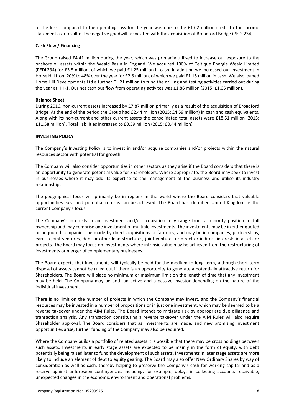of the loss, compared to the operating loss for the year was due to the £1.02 million credit to the Income statement as a result of the negative goodwill associated with the acquisition of Broadford Bridge (PEDL234).

#### **Cash Flow / Financing**

The Group raised £4.41 million during the year, which was primarily utilised to increase our exposure to the onshore oil assets within the Weald Basin in England. We acquired 100% of Celtique Energie Weald Limited (PEDL234) for £3.5 million, of which we paid £1.25 million in cash. In addition we increased our investment in Horse Hill from 20% to 48% over the year for £2.8 million, of which we paid £1.15 million in cash. We also loaned Horse Hill Developments Ltd a further £1.21 million to fund the drilling and testing activities carried out during the year at HH-1. Our net cash out flow from operating activites was £1.86 million (2015: £1.05 million).

#### **Balance Sheet**

During 2016, non-current assets increased by £7.87 million primarily as a result of the acquisition of Broadford Bridge. At the end of the period the Group had £2.44 million (2015: £4.59 million) in cash and cash equivalents. Along with its non‐current and other current assets the consolidated total assets were £18.51 million (2015: £11.58 million). Total liabilities increased to £0.59 million (2015: £0.44 million).

#### **INVESTING POLICY**

The Company's Investing Policy is to invest in and/or acquire companies and/or projects within the natural resources sector with potential for growth.

The Company will also consider opportunities in other sectors as they arise if the Board considers that there is an opportunity to generate potential value for Shareholders. Where appropriate, the Board may seek to invest in businesses where it may add its expertise to the management of the business and utilise its industry relationships.

The geographical focus will primarily be in regions in the world where the Board considers that valuable opportunities exist and potential returns can be achieved. The Board has identified United Kingdom as the current Company's focus.

The Company's interests in an investment and/or acquisition may range from a minority position to full ownership and may comprise one investment or multiple investments. The investments may be in either quoted or unquoted companies; be made by direct acquisitions or farm‐ins; and may be in companies, partnerships, earn-in joint ventures, debt or other loan structures, joint ventures or direct or indirect interests in assets or projects. The Board may focus on investments where intrinsic value may be achieved from the restructuring of investments or merger of complementary businesses.

The Board expects that investments will typically be held for the medium to long term, although short term disposal of assets cannot be ruled out if there is an opportunity to generate a potentially attractive return for Shareholders. The Board will place no minimum or maximum limit on the length of time that any investment may be held. The Company may be both an active and a passive investor depending on the nature of the individual investment.

There is no limit on the number of projects in which the Company may invest, and the Company's financial resources may be invested in a number of propositions or in just one investment, which may be deemed to be a reverse takeover under the AIM Rules. The Board intends to mitigate risk by appropriate due diligence and transaction analysis. Any transaction constituting a reverse takeover under the AIM Rules will also require Shareholder approval. The Board considers that as investments are made, and new promising investment opportunities arise, further funding of the Company may also be required.

Where the Company builds a portfolio of related assets it is possible that there may be cross holdings between such assets. Investments in early stage assets are expected to be mainly in the form of equity, with debt potentially being raised later to fund the development of such assets. Investments in later stage assets are more likely to include an element of debt to equity gearing. The Board may also offer New Ordinary Shares by way of consideration as well as cash, thereby helping to preserve the Company's cash for working capital and as a reserve against unforeseen contingencies including, for example, delays in collecting accounts receivable, unexpected changes in the economic environment and operational problems.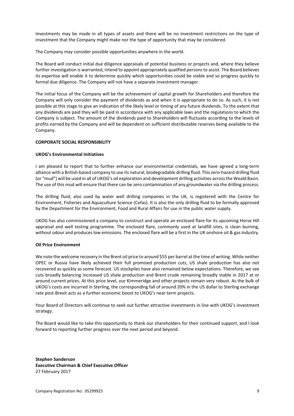Investments may be made in all types of assets and there will be no investment restrictions on the type of investment that the Company might make nor the type of opportunity that may be considered.

The Company may consider possible opportunities anywhere in the world.

The Board will conduct initial due diligence appraisals of potential business or projects and, where they believe further investigation is warranted, intend to appoint appropriately qualified persons to assist. The Board believes its expertise will enable it to determine quickly which opportunities could be viable and so progress quickly to formal due diligence. The Company will not have a separate investment manager.

The initial focus of the Company will be the achievement of capital growth for Shareholders and therefore the Company will only consider the payment of dividends as and when it is appropriate to do so. As such, it is not possible at this stage to give an indication of the likely level or timing of any future dividends. To the extent that any dividends are paid they will be paid in accordance with any applicable laws and the regulations to which the Company is subject. The amount of the dividends paid to Shareholders will fluctuate according to the levels of profits earned by the Company and will be dependent on sufficient distributable reserves being available to the Company.

## **CORPORATE SOCIAL RESPONSIBILITY**

#### **UKOG's Environmental Initiatives**

I am pleased to report that to further enhance our environmental credentials, we have agreed a long-term alliance with a British-based company to use its natural, biodegradable drilling fluid. This zero-hazard drilling fluid (or "mud") will be used in all of UKOG's oil exploration and development drilling activities across the Weald Basin. The use of this mud will ensure that there can be zero contamination of any groundwater via the drilling process.

The drilling fluid, also used by water well drilling companies in the UK, is registered with the Centre for Environment, Fisheries and Aquaculture Science (Cefas). It is also the only drilling fluid to be formally approved by the Department for the Environment, Food and Rural Affairs for use in the public water supply.

UKOG has also commissioned a company to construct and operate an enclosed flare for its upcoming Horse Hill appraisal and well testing programme. The enclosed flare, commonly used at landfill sites, is clean burning, without odour and produces low emissions. The enclosed flare will be a first in the UK onshore oil & gas industry.

#### **Oil Price Environment**

We note the welcome recovery in the Brent oil price to around \$55 per barrel at the time of writing. While neither OPEC or Russia have likely achieved their full promised production cuts, US shale production has also not recovered as quickly as some forecast. US stockpiles have also remained below expectations. Therefore, we see cuts broadly balancing increased US shale production and Brent crude remaining broadly stable in 2017 at or around current prices. At this price level, our Kimmeridge and other projects remain very robust. As the bulk of UKOG's costs are incurred in Sterling, the corresponding fall of around 20% in the US dollar to Sterling exchange rate post-Brexit acts as a further economic boost to UKOG's near term projects.

Your Board of Directors will continue to seek out further attractive investments in line with UKOG's investment strategy.

The Board would like to take this opportunity to thank our shareholders for their continued support, and I look forward to reporting further progress over the next period and beyond.

**Stephen Sanderson Executive Chairman & Chief Executive Officer**  27 February 2017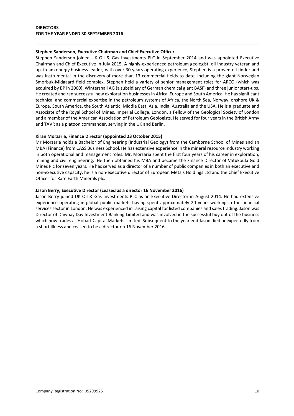## **DIRECTORS FOR THE YEAR ENDED 30 SEPTEMBER 2016**

## **Stephen Sanderson, Executive Chairman and Chief Executive Officer**

Stephen Sanderson joined UK Oil & Gas Investments PLC in September 2014 and was appointed Executive Chairman and Chief Executive in July 2015. A highly‐experienced petroleum geologist, oil industry veteran and upstream energy business leader, with over 30 years operating experience, Stephen is a proven oil finder and was instrumental in the discovery of more than 13 commercial fields to date, including the giant Norwegian Smorbuk-Midgaard field complex. Stephen held a variety of senior management roles for ARCO (which was acquired by BP in 2000), Wintershall AG (a subsidiary of German chemical giant BASF) and three junior start‐ups. He created and ran successful new exploration businesses in Africa, Europe and South America. He has significant technical and commercial expertise in the petroleum systems of Africa, the North Sea, Norway, onshore UK & Europe, South America, the South Atlantic, Middle East, Asia, India, Australia and the USA. He is a graduate and Associate of the Royal School of Mines, Imperial College, London, a Fellow of the Geological Society of London and a member of the American Association of Petroleum Geologists. He served for four years in the British Army and TAVR as a platoon commander, serving in the UK and Berlin.

## **Kiran Morzaria, Finance Director (appointed 23 October 2015)**

Mr Morzaria holds a Bachelor of Engineering (Industrial Geology) from the Camborne School of Mines and an MBA (Finance) from CASS Business School. He has extensive experience in the mineral resource industry working in both operational and management roles. Mr. Morzaria spent the first four years of his career in exploration, mining and civil engineering. He then obtained his MBA and became the Finance Director of Vatukoula Gold Mines Plc for seven years. He has served as a director of a number of public companies in both an executive and non‐executive capacity, he is a non‐executive director of European Metals Holdings Ltd and the Chief Executive Officer for Rare Earth Minerals plc.

#### **Jason Berry, Executive Director (ceased as a director 16 November 2016)**

Jason Berry joined UK Oil & Gas Investments PLC as an Executive Director in August 2014. He had extensive experience operating in global public markets having spent approximately 20 years working in the financial services sector in London. He was experienced in raising capital for listed companies and sales trading. Jason was Director of Dawnay Day Investment Banking Limited and was involved in the successful buy out of the business which now trades as Hobart Capital Markets Limited. Subsequent to the year end Jason died unexpectedly from a short illness and ceased to be a director on 16 November 2016.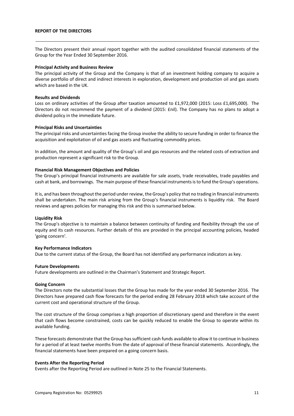## **REPORT OF THE DIRECTORS**

The Directors present their annual report together with the audited consolidated financial statements of the Group for the Year Ended 30 September 2016.

#### **Principal Activity and Business Review**

The principal activity of the Group and the Company is that of an investment holding company to acquire a diverse portfolio of direct and indirect interests in exploration, development and production oil and gas assets which are based in the UK.

#### **Results and Dividends**

Loss on ordinary activities of the Group after taxation amounted to £1,972,000 (2015: Loss £1,695,000). The Directors do not recommend the payment of a dividend (2015: Enil). The Company has no plans to adopt a dividend policy in the immediate future.

#### **Principal Risks and Uncertainties**

The principal risks and uncertainties facing the Group involve the ability to secure funding in order to finance the acquisition and exploitation of oil and gas assets and fluctuating commodity prices.

In addition, the amount and quality of the Group's oil and gas resources and the related costs of extraction and production represent a significant risk to the Group.

#### **Financial Risk Management Objectives and Policies**

The Group's principal financial instruments are available for sale assets, trade receivables, trade payables and cash at bank, and borrowings. The main purpose of these financial instruments is to fund the Group's operations.

It is, and has been throughout the period under review, the Group's policy that no trading in financial instruments shall be undertaken. The main risk arising from the Group's financial instruments is liquidity risk. The Board reviews and agrees policies for managing this risk and this is summarised below.

#### **Liquidity Risk**

The Group's objective is to maintain a balance between continuity of funding and flexibility through the use of equity and its cash resources. Further details of this are provided in the principal accounting policies, headed 'going concern'.

#### **Key Performance Indicators**

Due to the current status of the Group, the Board has not identified any performance indicators as key.

#### **Future Developments**

Future developments are outlined in the Chairman's Statement and Strategic Report.

#### **Going Concern**

The Directors note the substantial losses that the Group has made for the year ended 30 September 2016. The Directors have prepared cash flow forecasts for the period ending 28 February 2018 which take account of the current cost and operational structure of the Group.

The cost structure of the Group comprises a high proportion of discretionary spend and therefore in the event that cash flows become constrained, costs can be quickly reduced to enable the Group to operate within its available funding.

These forecasts demonstrate that the Group has sufficient cash funds available to allow it to continue in business for a period of at least twelve months from the date of approval of these financial statements. Accordingly, the financial statements have been prepared on a going concern basis.

#### **Events After the Reporting Period**

Events after the Reporting Period are outlined in Note 25 to the Financial Statements.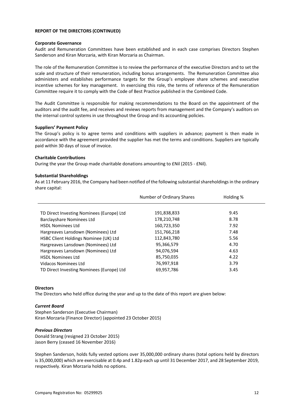#### **REPORT OF THE DIRECTORS (CONTINUED)**

#### **Corporate Governance**

Audit and Remuneration Committees have been established and in each case comprises Directors Stephen Sanderson and Kiran Morzaria, with Kiran Morzaria as Chairman.

The role of the Remuneration Committee is to review the performance of the executive Directors and to set the scale and structure of their remuneration, including bonus arrangements. The Remuneration Committee also administers and establishes performance targets for the Group's employee share schemes and executive incentive schemes for key management. In exercising this role, the terms of reference of the Remuneration Committee require it to comply with the Code of Best Practice published in the Combined Code.

The Audit Committee is responsible for making recommendations to the Board on the appointment of the auditors and the audit fee, and receives and reviews reports from management and the Company's auditors on the internal control systems in use throughout the Group and its accounting policies.

#### **Suppliers' Payment Policy**

The Group's policy is to agree terms and conditions with suppliers in advance; payment is then made in accordance with the agreement provided the supplier has met the terms and conditions. Suppliers are typically paid within 30 days of issue of invoice.

#### **Charitable Contributions**

During the year the Group made charitable donations amounting to £Nil (2015 ‐ £Nil).

#### **Substantial Shareholdings**

As at 11 February 2016, the Company had been notified of the following substantial shareholdings in the ordinary share capital:

|                                                                   | Number of Ordinary Shares | Holding %    |
|-------------------------------------------------------------------|---------------------------|--------------|
| TD Direct Investing Nominees (Europe) Ltd                         | 191,838,833               | 9.45         |
| Barclayshare Nominees Ltd                                         | 178,210,748               | 8.78         |
| <b>HSDL Nominees Ltd</b>                                          | 160,723,350               | 7.92         |
| Hargreaves Lansdown (Nominees) Ltd                                | 151,766,218               | 7.48         |
| HSBC Client Holdings Nominee (UK) Ltd                             | 112,843,780               | 5.56         |
| Hargreaves Lansdown (Nominees) Ltd                                | 95,366,579                | 4.70         |
| Hargreaves Lansdown (Nominees) Ltd                                | 94,076,594                | 4.63         |
| <b>HSDL Nominees Ltd</b>                                          | 85,750,035                | 4.22         |
| Vidacos Nominees Ltd<br>TD Direct Investing Nominees (Europe) Ltd | 76,997,918<br>69,957,786  | 3.79<br>3.45 |
|                                                                   |                           |              |

#### **Directors**

The Directors who held office during the year and up to the date of this report are given below:

#### *Current Board*

Stephen Sanderson (Executive Chairman) Kiran Morzaria (Finance Director) (appointed 23 October 2015)

#### *Previous Directors*

Donald Strang (resigned 23 October 2015) Jason Berry (ceased 16 November 2016)

Stephen Sanderson, holds fully vested options over 35,000,000 ordinary shares (total options held by directors is 35,000,000) which are exercisable at 0.4p and 1.82p each up until 31 December 2017, and 28 September 2019, respectively. Kiran Morzaria holds no options.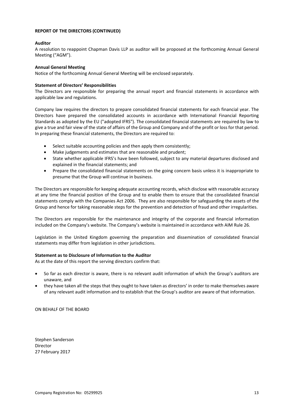## **REPORT OF THE DIRECTORS (CONTINUED)**

#### **Auditor**

A resolution to reappoint Chapman Davis LLP as auditor will be proposed at the forthcoming Annual General Meeting ("AGM").

#### **Annual General Meeting**

Notice of the forthcoming Annual General Meeting will be enclosed separately.

#### **Statement of Directors' Responsibilities**

The Directors are responsible for preparing the annual report and financial statements in accordance with applicable law and regulations.

Company law requires the directors to prepare consolidated financial statements for each financial year. The Directors have prepared the consolidated accounts in accordance with International Financial Reporting Standards as adopted by the EU ("adopted IFRS"). The consolidated financial statements are required by law to give a true and fair view of the state of affairs of the Group and Company and of the profit or loss for that period. In preparing these financial statements, the Directors are required to:

- Select suitable accounting policies and then apply them consistently;
- Make judgements and estimates that are reasonable and prudent;
- State whether applicable IFRS's have been followed, subject to any material departures disclosed and explained in the financial statements; and
- Prepare the consolidated financial statements on the going concern basis unless it is inappropriate to presume that the Group will continue in business.

The Directors are responsible for keeping adequate accounting records, which disclose with reasonable accuracy at any time the financial position of the Group and to enable them to ensure that the consolidated financial statements comply with the Companies Act 2006. They are also responsible for safeguarding the assets of the Group and hence for taking reasonable steps for the prevention and detection of fraud and other irregularities.

The Directors are responsible for the maintenance and integrity of the corporate and financial information included on the Company's website. The Company's website is maintained in accordance with AIM Rule 26.

Legislation in the United Kingdom governing the preparation and dissemination of consolidated financial statements may differ from legislation in other jurisdictions.

#### **Statement as to Disclosure of Information to the Auditor**

As at the date of this report the serving directors confirm that:

- So far as each director is aware, there is no relevant audit information of which the Group's auditors are unaware, and
- they have taken all the steps that they ought to have taken as directors' in order to make themselves aware of any relevant audit information and to establish that the Group's auditor are aware of that information.

ON BEHALF OF THE BOARD

Stephen Sanderson Director 27 February 2017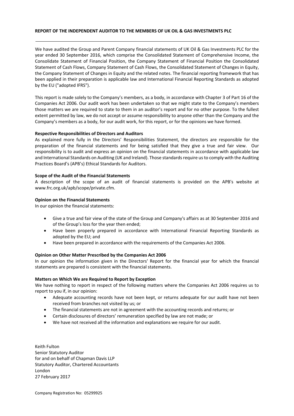## **REPORT OF THE INDEPENDENT AUDITOR TO THE MEMBERS OF UK OIL & GAS INVESTMENTS PLC**

We have audited the Group and Parent Company financial statements of UK Oil & Gas Investments PLC for the year ended 30 September 2016, which comprise the Consolidated Statement of Comprehensive Income, the Consolidate Statement of Financial Position, the Company Statement of Financial Position the Consolidated Statement of Cash Flows, Company Statement of Cash Flows, the Consolidated Statement of Changes in Equity, the Company Statement of Changes in Equity and the related notes. The financial reporting framework that has been applied in their preparation is applicable law and International Financial Reporting Standards as adopted by the EU ("adopted IFRS").

This report is made solely to the Company's members, as a body, in accordance with Chapter 3 of Part 16 of the Companies Act 2006. Our audit work has been undertaken so that we might state to the Company's members those matters we are required to state to them in an auditor's report and for no other purpose. To the fullest extent permitted by law, we do not accept or assume responsibility to anyone other than the Company and the Company's members as a body, for our audit work, for this report, or for the opinions we have formed.

#### **Respective Responsibilities of Directors and Auditors**

As explained more fully in the Directors' Responsibilities Statement, the directors are responsible for the preparation of the financial statements and for being satisfied that they give a true and fair view. Our responsibility is to audit and express an opinion on the financial statements in accordance with applicable law and International Standards on Auditing (UK and Ireland). Those standards require us to comply with the Auditing Practices Board's (APB's) Ethical Standards for Auditors.

#### **Scope of the Audit of the Financial Statements**

A description of the scope of an audit of financial statements is provided on the APB's website at www.frc.org.uk/apb/scope/private.cfm.

#### **Opinion on the Financial Statements**

In our opinion the financial statements:

- Give a true and fair view of the state of the Group and Company's affairs as at 30 September 2016 and of the Group's loss for the year then ended;
- Have been properly prepared in accordance with International Financial Reporting Standards as adopted by the EU; and
- Have been prepared in accordance with the requirements of the Companies Act 2006.

#### **Opinion on Other Matter Prescribed by the Companies Act 2006**

In our opinion the information given in the Directors' Report for the financial year for which the financial statements are prepared is consistent with the financial statements.

#### **Matters on Which We are Required to Report by Exception**

We have nothing to report in respect of the following matters where the Companies Act 2006 requires us to report to you if, in our opinion:

- Adequate accounting records have not been kept, or returns adequate for our audit have not been received from branches not visited by us; or
- The financial statements are not in agreement with the accounting records and returns; or
- Certain disclosures of directors' remuneration specified by law are not made; or
- We have not received all the information and explanations we require for our audit.

Keith Fulton Senior Statutory Auditor for and on behalf of Chapman Davis LLP Statutory Auditor, Chartered Accountants London 27 February 2017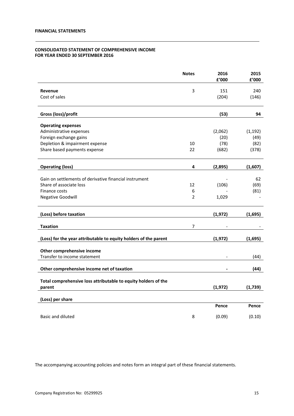## **CONSOLIDATED STATEMENT OF COMPREHENSIVE INCOME FOR YEAR ENDED 30 SEPTEMBER 2016**

|                                                                  | <b>Notes</b> | 2016<br>£'000 | 2015<br>f'000 |
|------------------------------------------------------------------|--------------|---------------|---------------|
| <b>Revenue</b>                                                   | 3            | 151           | 240           |
| Cost of sales                                                    |              | (204)         | (146)         |
| Gross (loss)/profit                                              |              | (53)          | 94            |
| <b>Operating expenses</b>                                        |              |               |               |
| Administrative expenses                                          |              | (2,062)       | (1, 192)      |
| Foreign exchange gains                                           |              | (20)          | (49)          |
| Depletion & impairment expense                                   | 10           | (78)          | (82)          |
| Share based payments expense                                     | 22           | (682)         | (378)         |
| <b>Operating (loss)</b>                                          | 4            | (2,895)       | (1,607)       |
|                                                                  |              |               |               |
| Gain on settlements of derivative financial instrument           |              |               | 62            |
| Share of associate loss                                          | 12           | (106)         | (69)          |
| Finance costs                                                    | 6            |               | (81)          |
| <b>Negative Goodwill</b>                                         | 2            | 1,029         |               |
| (Loss) before taxation                                           |              | (1,972)       | (1,695)       |
| <b>Taxation</b>                                                  | 7            |               |               |
| (Loss) for the year attributable to equity holders of the parent |              | (1,972)       | (1,695)       |
|                                                                  |              |               |               |
| Other comprehensive income                                       |              |               |               |
| Transfer to income statement                                     |              |               | (44)          |
| Other comprehensive income net of taxation                       |              |               | (44)          |
| Total comprehensive loss attributable to equity holders of the   |              |               |               |
| parent                                                           |              | (1, 972)      | (1,739)       |
| (Loss) per share                                                 |              |               |               |
|                                                                  |              | Pence         | Pence         |
| Basic and diluted                                                | 8            | (0.09)        | (0.10)        |

The accompanying accounting policies and notes form an integral part of these financial statements.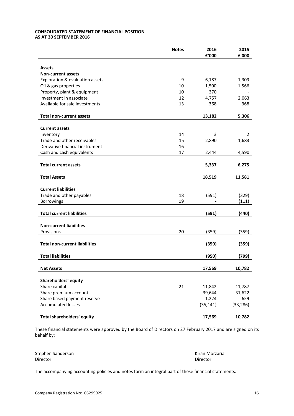## **CONSOLIDATED STATEMENT OF FINANCIAL POSITION AS AT 30 SEPTEMBER 2016**

|                                      | <b>Notes</b> | 2016      | 2015      |
|--------------------------------------|--------------|-----------|-----------|
|                                      |              | £'000     | £'000     |
| <b>Assets</b>                        |              |           |           |
| <b>Non-current assets</b>            |              |           |           |
| Exploration & evaluation assets      | 9            | 6,187     | 1,309     |
| Oil & gas properties                 | 10           | 1,500     | 1,566     |
| Property, plant & equipment          | 10           | 370       |           |
| Investment in associate              | 12           | 4,757     | 2,063     |
| Available for sale investments       | 13           | 368       | 368       |
|                                      |              |           |           |
| <b>Total non-current assets</b>      |              | 13,182    | 5,306     |
|                                      |              |           |           |
| <b>Current assets</b>                |              |           |           |
| Inventory                            | 14           | 3         | 2         |
| Trade and other receivables          | 15           | 2,890     | 1,683     |
| Derivative financial instrument      | 16           |           |           |
| Cash and cash equivalents            | 17           | 2,444     | 4,590     |
|                                      |              |           |           |
| <b>Total current assets</b>          |              | 5,337     | 6,275     |
| <b>Total Assets</b>                  |              | 18,519    | 11,581    |
|                                      |              |           |           |
| <b>Current liabilities</b>           |              |           |           |
| Trade and other payables             | 18           | (591)     | (329)     |
| Borrowings                           | 19           |           | (111)     |
|                                      |              |           |           |
| <b>Total current liabilities</b>     |              | (591)     | (440)     |
|                                      |              |           |           |
| <b>Non-current liabilities</b>       |              |           |           |
| Provisions                           | 20           | (359)     | (359)     |
|                                      |              |           |           |
| <b>Total non-current liabilities</b> |              | (359)     | (359)     |
| <b>Total liabilities</b>             |              | (950)     | (799)     |
|                                      |              |           |           |
| <b>Net Assets</b>                    |              | 17,569    | 10,782    |
|                                      |              |           |           |
| Shareholders' equity                 |              |           |           |
| Share capital                        | 21           | 11,842    | 11,787    |
| Share premium account                |              | 39,644    | 31,622    |
| Share based payment reserve          |              | 1,224     | 659       |
| <b>Accumulated losses</b>            |              | (35, 141) | (33, 286) |
|                                      |              |           |           |
| <b>Total shareholders' equity</b>    |              | 17,569    | 10,782    |

These financial statements were approved by the Board of Directors on 27 February 2017 and are signed on its behalf by:

| Stephen Sanderson | Kiran Morzaria |
|-------------------|----------------|
| Director          | Director       |

The accompanying accounting policies and notes form an integral part of these financial statements.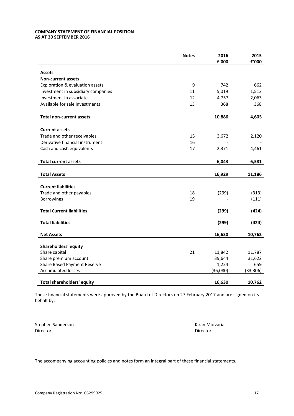## **COMPANY STATEMENT OF FINANCIAL POSITION AS AT 30 SEPTEMBER 2016**

|                                    | <b>Notes</b> | 2016     | 2015      |
|------------------------------------|--------------|----------|-----------|
|                                    |              | f'000    | £'000     |
| <b>Assets</b>                      |              |          |           |
| <b>Non-current assets</b>          |              |          |           |
| Exploration & evaluation assets    | 9            | 742      | 662       |
| Investment in subsidiary companies | 11           | 5,019    | 1,512     |
| Investment in associate            | 12           | 4,757    | 2,063     |
| Available for sale investments     | 13           | 368      | 368       |
|                                    |              |          |           |
| <b>Total non-current assets</b>    |              | 10,886   | 4,605     |
|                                    |              |          |           |
| <b>Current assets</b>              |              |          |           |
| Trade and other receivables        | 15           | 3,672    | 2,120     |
| Derivative financial instrument    | 16           |          |           |
| Cash and cash equivalents          | 17           | 2,371    | 4,461     |
|                                    |              |          |           |
| <b>Total current assets</b>        |              | 6,043    | 6,581     |
|                                    |              |          |           |
| <b>Total Assets</b>                |              | 16,929   | 11,186    |
| <b>Current liabilities</b>         |              |          |           |
| Trade and other payables           | 18           | (299)    | (313)     |
| Borrowings                         | 19           |          | (111)     |
|                                    |              |          |           |
| <b>Total Current liabilities</b>   |              | (299)    | (424)     |
|                                    |              |          |           |
| <b>Total liabilities</b>           |              | (299)    | (424)     |
| <b>Net Assets</b>                  |              | 16,630   | 10,762    |
|                                    |              |          |           |
| Shareholders' equity               |              |          |           |
| Share capital                      | 21           | 11,842   | 11,787    |
| Share premium account              |              | 39,644   | 31,622    |
| Share Based Payment Reserve        |              | 1,224    | 659       |
| <b>Accumulated losses</b>          |              | (36,080) | (33, 306) |
|                                    |              |          |           |
| <b>Total shareholders' equity</b>  |              | 16,630   | 10,762    |

These financial statements were approved by the Board of Directors on 27 February 2017 and are signed on its behalf by:

Stephen Sanderson Kiran Morzaria Director **Director** *Director* 

The accompanying accounting policies and notes form an integral part of these financial statements.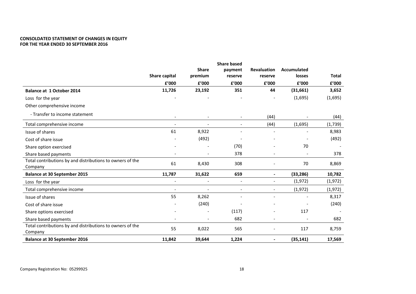## **CONSOLDATED STATEMENT OF CHANGES IN EQUITY FOR THE YEAR ENDED 30 SEPTEMBER 2016**

|                                                                      |                          |                          | <b>Share based</b>       |                          |                    |              |
|----------------------------------------------------------------------|--------------------------|--------------------------|--------------------------|--------------------------|--------------------|--------------|
|                                                                      |                          | <b>Share</b>             | payment                  | <b>Revaluation</b>       | <b>Accumulated</b> |              |
|                                                                      | Share capital            | premium                  | reserve                  | reserve                  | losses             | <b>Total</b> |
|                                                                      | £'000                    | £'000                    | £'000                    | £'000                    | £'000              | £'000        |
| <b>Balance at 1 October 2014</b>                                     | 11,726                   | 23,192                   | 351                      | 44                       | (31,661)           | 3,652        |
| Loss for the year                                                    |                          |                          |                          |                          | (1,695)            | (1,695)      |
| Other comprehensive income                                           |                          |                          |                          |                          |                    |              |
| - Transfer to income statement                                       | $\blacksquare$           | $\overline{\phantom{a}}$ | $\overline{\phantom{a}}$ | (44)                     |                    | (44)         |
| Total comprehensive income                                           |                          |                          | ÷                        | (44)                     | (1,695)            | (1,739)      |
| Issue of shares                                                      | 61                       | 8,922                    |                          |                          |                    | 8,983        |
| Cost of share issue                                                  |                          | (492)                    |                          |                          |                    | (492)        |
| Share option exercised                                               |                          |                          | (70)                     |                          | 70                 |              |
| Share based payments                                                 |                          |                          | 378                      |                          |                    | 378          |
| Total contributions by and distributions to owners of the            | 61                       | 8,430                    | 308                      |                          | 70                 | 8,869        |
| Company                                                              |                          |                          |                          |                          |                    |              |
| <b>Balance at 30 September 2015</b>                                  | 11,787                   | 31,622                   | 659                      | $\blacksquare$           | (33, 286)          | 10,782       |
| Loss for the year                                                    | $\overline{\phantom{a}}$ | $\blacksquare$           | $\blacksquare$           |                          | (1, 972)           | (1, 972)     |
| Total comprehensive income                                           | $\overline{\phantom{a}}$ | $\overline{\phantom{a}}$ | $\overline{\phantom{a}}$ |                          | (1, 972)           | (1, 972)     |
| Issue of shares                                                      | 55                       | 8,262                    |                          |                          |                    | 8,317        |
| Cost of share issue                                                  |                          | (240)                    |                          | $\overline{\phantom{a}}$ |                    | (240)        |
| Share options exercised                                              |                          |                          | (117)                    |                          | 117                |              |
| Share based payments                                                 |                          | $\overline{\phantom{a}}$ | 682                      | $\overline{\phantom{a}}$ |                    | 682          |
| Total contributions by and distributions to owners of the<br>Company | 55                       | 8,022                    | 565                      |                          | 117                | 8,759        |
| <b>Balance at 30 September 2016</b>                                  | 11,842                   | 39,644                   | 1,224                    |                          | (35, 141)          | 17,569       |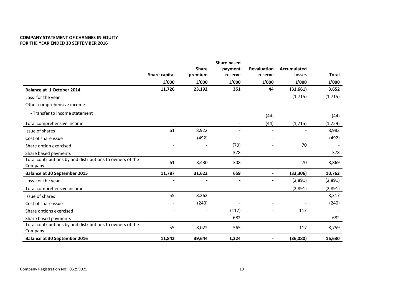## **COMPANY STATEMENT OF CHANGES IN EQUITY FOR THE YEAR ENDED 30 SEPTEMBER 2016**

|                                                                      |                |                          | <b>Share based</b> |                          |               |              |
|----------------------------------------------------------------------|----------------|--------------------------|--------------------|--------------------------|---------------|--------------|
|                                                                      |                | <b>Share</b>             | payment            | <b>Revaluation</b>       | Accumulated   |              |
|                                                                      | Share capital  | premium                  | reserve            | reserve                  | <b>losses</b> | <b>Total</b> |
|                                                                      | £'000          | £'000                    | £'000              | £'000                    | £'000         | £'000        |
| <b>Balance at 1 October 2014</b>                                     | 11,726         | 23,192                   | 351                | 44                       | (31,661)      | 3,652        |
| Loss for the year                                                    |                |                          |                    |                          | (1,715)       | (1,715)      |
| Other comprehensive income                                           |                |                          |                    |                          |               |              |
| - Transfer to income statement                                       | $\blacksquare$ |                          |                    | (44)                     |               | (44)         |
| Total comprehensive income                                           |                |                          |                    | (44)                     | (1, 715)      | (1,759)      |
| Issue of shares                                                      | 61             | 8,922                    |                    |                          |               | 8,983        |
| Cost of share issue                                                  |                | (492)                    |                    |                          |               | (492)        |
| Share option exercised                                               |                |                          | (70)               |                          | 70            |              |
| Share based payments                                                 |                |                          | 378                |                          |               | 378          |
| Total contributions by and distributions to owners of the            | 61             | 8,430                    | 308                |                          | 70            | 8,869        |
| Company                                                              |                |                          |                    |                          |               |              |
| <b>Balance at 30 September 2015</b>                                  | 11,787         | 31,622                   | 659                | $\blacksquare$           | (33, 306)     | 10,762       |
| Loss for the year                                                    |                |                          |                    |                          | (2,891)       | (2,891)      |
| Total comprehensive income                                           |                |                          |                    |                          | (2,891)       | (2,891)      |
| Issue of shares                                                      | 55             | 8,262                    |                    |                          |               | 8,317        |
| Cost of share issue                                                  |                | (240)                    |                    |                          |               | (240)        |
| Share options exercised                                              |                |                          | (117)              |                          | 117           |              |
| Share based payments                                                 | $\blacksquare$ | $\overline{\phantom{a}}$ | 682                | $\overline{\phantom{a}}$ |               | 682          |
| Total contributions by and distributions to owners of the<br>Company | 55             | 8,022                    | 565                |                          | 117           | 8,759        |
| <b>Balance at 30 September 2016</b>                                  | 11,842         | 39,644                   | 1,224              |                          | (36,080)      | 16,630       |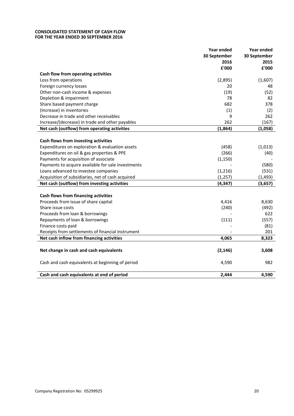# **CONSOLIDATED STATEMENT OF CASH FLOW FOR THE YEAR ENDED 30 SEPTEMBER 2016**

|                                                    | Year ended<br>30 September | Year ended<br>30 September |
|----------------------------------------------------|----------------------------|----------------------------|
|                                                    | 2016                       | 2015                       |
|                                                    | £'000                      | £'000                      |
| Cash flow from operating activities                |                            |                            |
| Loss from operations                               | (2,895)                    | (1,607)                    |
| Foreign currency losses                            | 20                         | 48                         |
| Other non-cash income & expenses                   | (19)                       | (52)                       |
| Depletion & impairment                             | 78                         | 82                         |
| Share based payment charge                         | 682                        | 378                        |
| (Increase) in inventories                          | (1)                        | (2)                        |
| Decrease in trade and other receivables            | 9                          | 262                        |
| Increase/(decrease) in trade and other payables    | 262                        | (167)                      |
| Net cash (outflow) from operating activities       | (1,864)                    | (1,058)                    |
|                                                    |                            |                            |
| Cash flows from investing activities               |                            |                            |
| Expenditures on exploration & evaluation assets    | (458)                      | (1,013)                    |
| Expenditures on oil & gas properties & PPE         | (266)                      | (40)                       |
| Payments for acquisition of associate              | (1, 150)                   |                            |
| Payments to acquire available for sale investments |                            | (580)                      |
| Loans advanced to investee companies               | (1,216)                    | (531)                      |
| Acquisition of subsidiaries, net of cash acquired  | (1, 257)                   | (1, 493)                   |
| Net cash (outflow) from investing activities       | (4, 347)                   | (3,657)                    |
|                                                    |                            |                            |
| Cash flows from financing activities               |                            |                            |
| Proceeds from issue of share capital               | 4,416                      | 8,630                      |
| Share issue costs                                  | (240)                      | (492)                      |
| Proceeds from loan & borrowings                    |                            | 622                        |
| Repayments of loan & borrowings                    | (111)                      | (557)                      |
| Finance costs paid                                 |                            | (81)                       |
| Receipts from settlements of financial instrument  |                            | 201                        |
| Net cash inflow from financing activities          | 4,065                      | 8,323                      |
|                                                    |                            |                            |
| Net change in cash and cash equivalents            | (2, 146)                   | 3,608                      |
| Cash and cash equivalents at beginning of period   | 4,590                      | 982                        |
| Cash and cash equivalents at end of period         | 2.444                      | 4,590                      |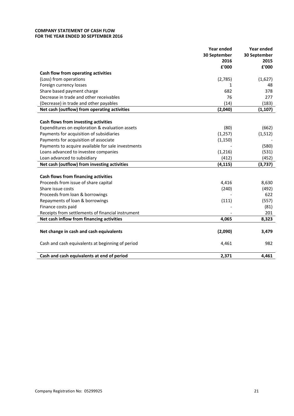# **COMPANY STATEMENT OF CASH FLOW FOR THE YEAR ENDED 30 SEPTEMBER 2016**

|                                                    | Year ended<br>30 September | Year ended<br>30 September |
|----------------------------------------------------|----------------------------|----------------------------|
|                                                    | 2016                       | 2015                       |
|                                                    | £'000                      | £'000                      |
| Cash flow from operating activities                |                            |                            |
| (Loss) from operations                             | (2,785)                    | (1,627)                    |
| Foreign currency losses                            | 1                          | 48                         |
| Share based payment charge                         | 682                        | 378                        |
| Decrease in trade and other receivables            | 76                         | 277                        |
| (Decrease) in trade and other payables             | (14)                       | (183)                      |
| Net cash (outflow) from operating activities       | (2,040)                    | (1, 107)                   |
|                                                    |                            |                            |
| Cash flows from investing activities               |                            |                            |
| Expenditures on exploration & evaluation assets    | (80)                       | (662)                      |
| Payments for acquisition of subsidiaries           | (1, 257)                   | (1, 512)                   |
| Payments for acquisition of associate              | (1, 150)                   |                            |
| Payments to acquire available for sale investments |                            | (580)                      |
| Loans advanced to investee companies               | (1, 216)                   | (531)                      |
| Loan advanced to subsidiary                        | (412)                      | (452)                      |
| Net cash (outflow) from investing activities       | (4, 115)                   | (3,737)                    |
|                                                    |                            |                            |
| Cash flows from financing activities               |                            |                            |
| Proceeds from issue of share capital               | 4,416                      | 8,630                      |
| Share issue costs                                  | (240)                      | (492)                      |
| Proceeds from loan & borrowings                    |                            | 622                        |
| Repayments of loan & borrowings                    | (111)                      | (557)                      |
| Finance costs paid                                 |                            | (81)                       |
| Receipts from settlements of financial instrument  |                            | 201                        |
| Net cash inflow from financing activities          | 4,065                      | 8,323                      |
|                                                    |                            |                            |
| Net change in cash and cash equivalents            | (2,090)                    | 3,479                      |
| Cash and cash equivalents at beginning of period   | 4,461                      | 982                        |
|                                                    |                            |                            |
| Cash and cash equivalents at end of period         | 2,371                      | 4,461                      |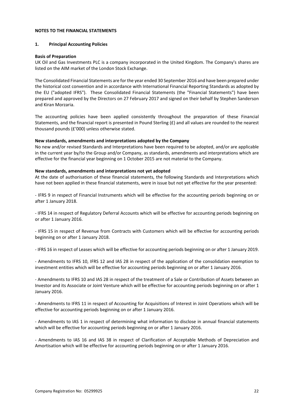#### **NOTES TO THE FINANCIAL STATEMENTS**

#### **1. Principal Accounting Policies**

#### **Basis of Preparation**

UK Oil and Gas Investments PLC is a company incorporated in the United Kingdom. The Company's shares are listed on the AIM market of the London Stock Exchange.

The Consolidated Financial Statements are for the year ended 30 September 2016 and have been prepared under the historical cost convention and in accordance with International Financial Reporting Standards as adopted by the EU ("adopted IFRS"). These Consolidated Financial Statements (the "Financial Statements") have been prepared and approved by the Directors on 27 February 2017 and signed on their behalf by Stephen Sanderson and Kiran Morzaria.

The accounting policies have been applied consistently throughout the preparation of these Financial Statements, and the financial report is presented in Pound Sterling (£) and all values are rounded to the nearest thousand pounds (£'000) unless otherwise stated.

#### **New standards, amendments and interpretations adopted by the Company**

No new and/or revised Standards and Interpretations have been required to be adopted, and/or are applicable in the current year by/to the Group and/or Company, as standards, amendments and interpretations which are effective for the financial year beginning on 1 October 2015 are not material to the Company.

#### **New standards, amendments and interpretations not yet adopted**

At the date of authorisation of these financial statements, the following Standards and Interpretations which have not been applied in these financial statements, were in issue but not yet effective for the year presented:

‐ IFRS 9 in respect of Financial Instruments which will be effective for the accounting periods beginning on or after 1 January 2018.

‐ IFRS 14 in respect of Regulatory Deferral Accounts which will be effective for accounting periods beginning on or after 1 January 2016.

‐ IFRS 15 in respect of Revenue from Contracts with Customers which will be effective for accounting periods beginning on or after 1 January 2018.

‐ IFRS 16 in respect of Leases which will be effective for accounting periods beginning on or after 1 January 2019.

‐ Amendments to IFRS 10, IFRS 12 and IAS 28 in respect of the application of the consolidation exemption to investment entities which will be effective for accounting periods beginning on or after 1 January 2016.

‐ Amendments to IFRS 10 and IAS 28 in respect of the treatment of a Sale or Contribution of Assets between an Investor and its Associate or Joint Venture which will be effective for accounting periods beginning on or after 1 January 2016.

‐ Amendments to IFRS 11 in respect of Accounting for Acquisitions of Interest in Joint Operations which will be effective for accounting periods beginning on or after 1 January 2016.

‐ Amendments to IAS 1 in respect of determining what information to disclose in annual financial statements which will be effective for accounting periods beginning on or after 1 January 2016.

‐ Amendments to IAS 16 and IAS 38 in respect of Clarification of Acceptable Methods of Depreciation and Amortisation which will be effective for accounting periods beginning on or after 1 January 2016.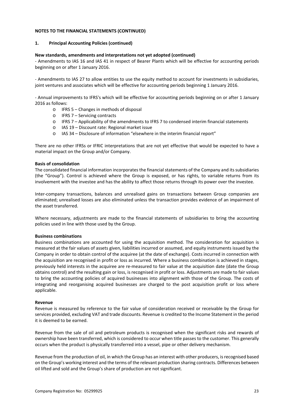## **1. Principal Accounting Policies (continued)**

#### **New standards, amendments and interpretations not yet adopted (continued)**

‐ Amendments to IAS 16 and IAS 41 in respect of Bearer Plants which will be effective for accounting periods beginning on or after 1 January 2016.

‐ Amendments to IAS 27 to allow entities to use the equity method to account for investments in subsidiaries, joint ventures and associates which will be effective for accounting periods beginning 1 January 2016.

‐ Annual improvements to IFRS's which will be effective for accounting periods beginning on or after 1 January 2016 as follows:

- o IFRS 5 Changes in methods of disposal
- o IFRS 7 Servicing contracts
- o IFRS 7 Applicability of the amendments to IFRS 7 to condensed interim financial statements
- o IAS 19 Discount rate: Regional market issue
- o IAS 34 Disclosure of information "elsewhere in the interim financial report"

There are no other IFRSs or IFRIC interpretations that are not yet effective that would be expected to have a material impact on the Group and/or Company.

#### **Basis of consolidation**

The consolidated financial information incorporates the financial statements of the Company and its subsidiaries (the "Group"). Control is achieved where the Group is exposed, or has rights, to variable returns from its involvement with the investee and has the ability to affect those returns through its power over the investee.

Inter-company transactions, balances and unrealised gains on transactions between Group companies are eliminated; unrealised losses are also eliminated unless the transaction provides evidence of an impairment of the asset transferred.

Where necessary, adjustments are made to the financial statements of subsidiaries to bring the accounting policies used in line with those used by the Group.

#### **Business combinations**

Business combinations are accounted for using the acquisition method. The consideration for acquisition is measured at the fair values of assets given, liabilities incurred or assumed, and equity instruments issued by the Company in order to obtain control of the acquiree (at the date of exchange). Costs incurred in connection with the acquisition are recognised in profit or loss as incurred. Where a business combination is achieved in stages, previously held interests in the acquiree are re-measured to fair value at the acquisition date (date the Group obtains control) and the resulting gain or loss, is recognised in profit or loss. Adjustments are made to fair values to bring the accounting policies of acquired businesses into alignment with those of the Group. The costs of integrating and reorganising acquired businesses are charged to the post acquisition profit or loss where applicable.

#### **Revenue**

Revenue is measured by reference to the fair value of consideration received or receivable by the Group for services provided, excluding VAT and trade discounts. Revenue is credited to the Income Statement in the period it is deemed to be earned.

Revenue from the sale of oil and petroleum products is recognised when the significant risks and rewards of ownership have been transferred, which is considered to occur when title passes to the customer. This generally occurs when the product is physically transferred into a vessel, pipe or other delivery mechanism.

Revenue from the production of oil, in which the Group has an interest with other producers, is recognised based on the Group's working interest and the terms of the relevant production sharing contracts. Differences between oil lifted and sold and the Group's share of production are not significant.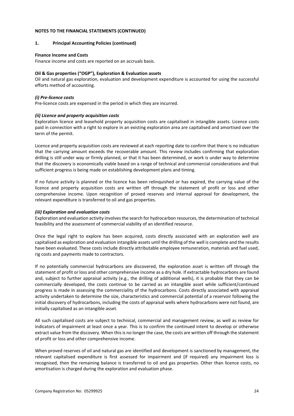## **1. Principal Accounting Policies (continued)**

#### **Finance Income and Costs**

Finance income and costs are reported on an accruals basis.

## **Oil & Gas properties ("OGP"), Exploration & Evaluation assets**

Oil and natural gas exploration, evaluation and development expenditure is accounted for using the successful efforts method of accounting.

## *(i) Pre‐licence costs*

Pre‐licence costs are expensed in the period in which they are incurred.

#### *(ii) Licence and property acquisition costs*

Exploration licence and leasehold property acquisition costs are capitalised in intangible assets. Licence costs paid in connection with a right to explore in an existing exploration area are capitalised and amortised over the term of the permit.

Licence and property acquisition costs are reviewed at each reporting date to confirm that there is no indication that the carrying amount exceeds the recoverable amount. This review includes confirming that exploration drilling is still under way or firmly planned, or that it has been determined, or work is under way to determine that the discovery is economically viable based on a range of technical and commercial considerations and that sufficient progress is being made on establishing development plans and timing.

If no future activity is planned or the licence has been relinquished or has expired, the carrying value of the licence and property acquisition costs are written off through the statement of profit or loss and other comprehensive income. Upon recognition of proved reserves and internal approval for development, the relevant expenditure is transferred to oil and gas properties.

#### *(iii) Exploration and evaluation costs*

Exploration and evaluation activity involves the search for hydrocarbon resources, the determination of technical feasibility and the assessment of commercial viability of an identified resource.

Once the legal right to explore has been acquired, costs directly associated with an exploration well are capitalised as exploration and evaluation intangible assets until the drilling of the well is complete and the results have been evaluated. These costs include directly attributable employee remuneration, materials and fuel used, rig costs and payments made to contractors.

If no potentially commercial hydrocarbons are discovered, the exploration asset is written off through the statement of profit or loss and other comprehensive income as a dry hole. If extractable hydrocarbons are found and, subject to further appraisal activity (e.g., the drilling of additional wells), it is probable that they can be commercially developed, the costs continue to be carried as an intangible asset while sufficient/continued progress is made in assessing the commerciality of the hydrocarbons. Costs directly associated with appraisal activity undertaken to determine the size, characteristics and commercial potential of a reservoir following the initial discovery of hydrocarbons, including the costs of appraisal wells where hydrocarbons were not found, are initially capitalised as an intangible asset.

All such capitalised costs are subject to technical, commercial and management review, as well as review for indicators of impairment at least once a year. This is to confirm the continued intent to develop or otherwise extract value from the discovery. When this is no longer the case, the costs are written off through the statement of profit or loss and other comprehensive income.

When proved reserves of oil and natural gas are identified and development is sanctioned by management, the relevant capitalised expenditure is first assessed for impairment and (if required) any impairment loss is recognised, then the remaining balance is transferred to oil and gas properties. Other than licence costs, no amortisation is charged during the exploration and evaluation phase.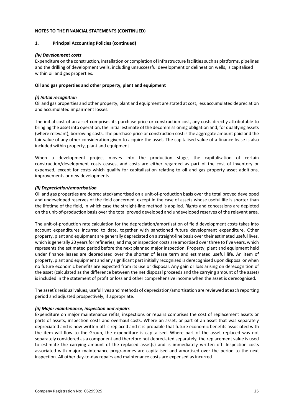## **1. Principal Accounting Policies (continued)**

#### *(iv) Development costs*

Expenditure on the construction, installation or completion of infrastructure facilities such as platforms, pipelines and the drilling of development wells, including unsuccessful development or delineation wells, is capitalised within oil and gas properties.

#### **Oil and gas properties and other property, plant and equipment**

#### *(i) Initial recognition*

Oil and gas properties and other property, plant and equipment are stated at cost, less accumulated depreciation and accumulated impairment losses.

The initial cost of an asset comprises its purchase price or construction cost, any costs directly attributable to bringing the asset into operation, the initial estimate of the decommissioning obligation and, for qualifying assets (where relevant), borrowing costs. The purchase price or construction cost is the aggregate amount paid and the fair value of any other consideration given to acquire the asset. The capitalised value of a finance lease is also included within property, plant and equipment.

When a development project moves into the production stage, the capitalisation of certain construction/development costs ceases, and costs are either regarded as part of the cost of inventory or expensed, except for costs which qualify for capitalisation relating to oil and gas property asset additions, improvements or new developments.

#### *(ii) Depreciation/amortisation*

Oil and gas properties are depreciated/amortised on a unit‐of‐production basis over the total proved developed and undeveloped reserves of the field concerned, except in the case of assets whose useful life is shorter than the lifetime of the field, in which case the straight‐line method is applied. Rights and concessions are depleted on the unit‐of‐production basis over the total proved developed and undeveloped reserves of the relevant area.

The unit‐of‐production rate calculation for the depreciation/amortisation of field development costs takes into account expenditures incurred to date, together with sanctioned future development expenditure. Other property, plant and equipment are generally depreciated on a straight-line basis over their estimated useful lives, which is generally 20 years for refineries, and major inspection costs are amortised over three to five years, which represents the estimated period before the next planned major inspection. Property, plant and equipment held under finance leases are depreciated over the shorter of lease term and estimated useful life. An item of property, plant and equipment and any significant part initially recognised is derecognised upon disposal or when no future economic benefits are expected from its use or disposal. Any gain or loss arising on derecognition of the asset (calculated as the difference between the net disposal proceeds and the carrying amount of the asset) is included in the statement of profit or loss and other comprehensive income when the asset is derecognised.

The asset's residual values, useful lives and methods of depreciation/amortisation are reviewed at each reporting period and adjusted prospectively, if appropriate.

#### *(ii) Major maintenance, inspection and repairs*

Expenditure on major maintenance refits, inspections or repairs comprises the cost of replacement assets or parts of assets, inspection costs and overhaul costs. Where an asset, or part of an asset that was separately depreciated and is now written off is replaced and it is probable that future economic benefits associated with the item will flow to the Group, the expenditure is capitalised. Where part of the asset replaced was not separately considered as a component and therefore not depreciated separately, the replacement value is used to estimate the carrying amount of the replaced asset(s) and is immediately written off. Inspection costs associated with major maintenance programmes are capitalised and amortised over the period to the next inspection. All other day‐to‐day repairs and maintenance costs are expensed as incurred.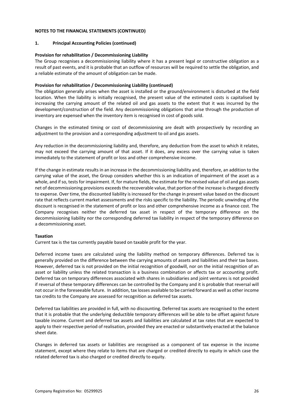## **1. Principal Accounting Policies (continued)**

## **Provision for rehabilitation / Decommissioning Liability**

The Group recognises a decommissioning liability where it has a present legal or constructive obligation as a result of past events, and it is probable that an outflow of resources will be required to settle the obligation, and a reliable estimate of the amount of obligation can be made.

## **Provision for rehabilitation / Decommissioning Liability (continued)**

The obligation generally arises when the asset is installed or the ground/environment is disturbed at the field location. When the liability is initially recognised, the present value of the estimated costs is capitalised by increasing the carrying amount of the related oil and gas assets to the extent that it was incurred by the development/construction of the field. Any decommissioning obligations that arise through the production of inventory are expensed when the inventory item is recognised in cost of goods sold.

Changes in the estimated timing or cost of decommissioning are dealt with prospectively by recording an adjustment to the provision and a corresponding adjustment to oil and gas assets.

Any reduction in the decommissioning liability and, therefore, any deduction from the asset to which it relates, may not exceed the carrying amount of that asset. If it does, any excess over the carrying value is taken immediately to the statement of profit or loss and other comprehensive income.

If the change in estimate results in an increase in the decommissioning liability and, therefore, an addition to the carrying value of the asset, the Group considers whether this is an indication of impairment of the asset as a whole, and if so, tests for impairment. If, for mature fields, the estimate for the revised value of oil and gas assets net of decommissioning provisions exceeds the recoverable value, that portion of the increase is charged directly to expense. Over time, the discounted liability is increased for the change in present value based on the discount rate that reflects current market assessments and the risks specific to the liability. The periodic unwinding of the discount is recognised in the statement of profit or loss and other comprehensive income as a finance cost. The Company recognises neither the deferred tax asset in respect of the temporary difference on the decommissioning liability nor the corresponding deferred tax liability in respect of the temporary difference on a decommissioning asset.

#### **Taxation**

Current tax is the tax currently payable based on taxable profit for the year.

Deferred income taxes are calculated using the liability method on temporary differences. Deferred tax is generally provided on the difference between the carrying amounts of assets and liabilities and their tax bases. However, deferred tax is not provided on the initial recognition of goodwill, nor on the initial recognition of an asset or liability unless the related transaction is a business combination or affects tax or accounting profit. Deferred tax on temporary differences associated with shares in subsidiaries and joint ventures is not provided if reversal of these temporary differences can be controlled by the Company and it is probable that reversal will not occur in the foreseeable future. In addition, tax losses available to be carried forward as well as other income tax credits to the Company are assessed for recognition as deferred tax assets.

Deferred tax liabilities are provided in full, with no discounting. Deferred tax assets are recognised to the extent that it is probable that the underlying deductible temporary differences will be able to be offset against future taxable income. Current and deferred tax assets and liabilities are calculated at tax rates that are expected to apply to their respective period of realisation, provided they are enacted or substantively enacted at the balance sheet date.

Changes in deferred tax assets or liabilities are recognised as a component of tax expense in the income statement, except where they relate to items that are charged or credited directly to equity in which case the related deferred tax is also charged or credited directly to equity.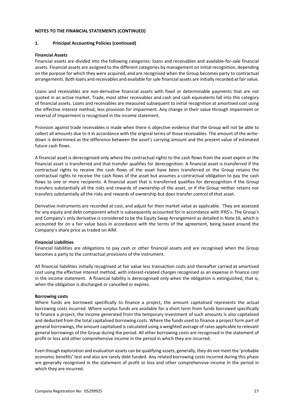## **1. Principal Accounting Policies (continued)**

#### **Financial Assets**

Financial assets are divided into the following categories: loans and receivables and available‐for‐sale financial assets. Financial assets are assigned to the different categories by management on initial recognition, depending on the purpose for which they were acquired, and are recognised when the Group becomes party to contractual arrangements. Both loans and receivables and available for sale financial assets are initially recorded at fair value.

Loans and receivables are non-derivative financial assets with fixed or determinable payments that are not quoted in an active market. Trade, most other receivables and cash and cash equivalents fall into this category of financial assets. Loans and receivables are measured subsequent to initial recognition at amortised cost using the effective interest method, less provision for impairment. Any change in their value through impairment or reversal of impairment is recognised in the income statement.

Provision against trade receivables is made when there is objective evidence that the Group will not be able to collect all amounts due to it in accordance with the original terms of those receivables. The amount of the writedown is determined as the difference between the asset's carrying amount and the present value of estimated future cash flows.

A financial asset is derecognised only where the contractual rights to the cash flows from the asset expire or the financial asset is transferred and that transfer qualifies for derecognition. A financial asset is transferred if the contractual rights to receive the cash flows of the asset have been transferred or the Group retains the contractual rights to receive the cash flows of the asset but assumes a contractual obligation to pay the cash flows to one or more recipients. A financial asset that is transferred qualifies for derecognition if the Group transfers substantially all the risks and rewards of ownership of the asset, or if the Group neither retains nor transfers substantially all the risks and rewards of ownership but does transfer control of that asset.

Derivative instruments are recorded at cost, and adjust for their market value as applicable. They are assessed for any equity and debt component which is subsequently accounted for in accordance with IFRS's. The Group's and Company's only derivative is considered to be the Equity Swap Arrangement as detailed in Note 16, which is accounted for on a fair value basis in accordance with the terms of the agreement, being based around the Company's share price as traded on AIM.

## **Financial Liabilities**

Financial liabilities are obligations to pay cash or other financial assets and are recognised when the Group becomes a party to the contractual provisions of the instrument.

All financial liabilities initially recognised at fair value less transaction costs and thereafter carried at amortised cost using the effective interest method, with interest-related charges recognised as an expense in finance cost in the income statement. A financial liability is derecognised only when the obligation is extinguished, that is, when the obligation is discharged or cancelled or expires.

#### **Borrowing costs**

Where funds are borrowed specifically to finance a project, the amount capitalised represents the actual borrowing costs incurred. Where surplus funds are available for a short term from funds borrowed specifically to finance a project, the income generated from the temporary investment of such amounts is also capitalised and deducted from the total capitalised borrowing costs. Where the funds used to finance a project form part of general borrowings, the amount capitalised is calculated using a weighted average of rates applicable to relevant general borrowings of the Group during the period. All other borrowing costs are recognised in the statement of profit or loss and other comprehensive income in the period in which they are incurred.

Even though exploration and evaluation assets can be qualifying assets, generally, they do not meet the 'probable economic benefits' test and also are rarely debt funded. Any related borrowing costs incurred during this phase are generally recognised in the statement of profit or loss and other comprehensive income in the period in which they are incurred.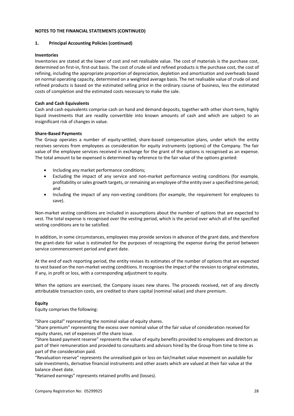#### **1. Principal Accounting Policies (continued)**

#### **Inventories**

Inventories are stated at the lower of cost and net realisable value. The cost of materials is the purchase cost, determined on first-in, first-out basis. The cost of crude oil and refined products is the purchase cost, the cost of refining, including the appropriate proportion of depreciation, depletion and amortisation and overheads based on normal operating capacity, determined on a weighted average basis. The net realisable value of crude oil and refined products is based on the estimated selling price in the ordinary course of business, less the estimated costs of completion and the estimated costs necessary to make the sale.

#### **Cash and Cash Equivalents**

Cash and cash equivalents comprise cash on hand and demand deposits, together with other short‐term, highly liquid investments that are readily convertible into known amounts of cash and which are subject to an insignificant risk of changes in value.

## **Share‐Based Payments**

The Group operates a number of equity-settled, share-based compensation plans, under which the entity receives services from employees as consideration for equity instruments (options) of the Company. The fair value of the employee services received in exchange for the grant of the options is recognised as an expense. The total amount to be expensed is determined by reference to the fair value of the options granted:

- Including any market performance conditions;
- Excluding the impact of any service and non-market performance vesting conditions (for example, profitability or sales growth targets, or remaining an employee of the entity over a specified time period; and
- Including the impact of any non-vesting conditions (for example, the requirement for employees to save).

Non-market vesting conditions are included in assumptions about the number of options that are expected to vest. The total expense is recognised over the vesting period, which is the period over which all of the specified vesting conditions are to be satisfied.

In addition, in some circumstances, employees may provide services in advance of the grant date, and therefore the grant-date fair value is estimated for the purposes of recognising the expense during the period between service commencement period and grant date.

At the end of each reporting period, the entity revises its estimates of the number of options that are expected to vest based on the non-market vesting conditions. It recognises the impact of the revision to original estimates, if any, in profit or loss, with a corresponding adjustment to equity.

When the options are exercised, the Company issues new shares. The proceeds received, net of any directly attributable transaction costs, are credited to share capital (nominal value) and share premium.

## **Equity**

Equity comprises the following:

"Share capital" representing the nominal value of equity shares.

"Share premium" representing the excess over nominal value of the fair value of consideration received for equity shares, net of expenses of the share issue.

"Share based payment reserve" represents the value of equity benefits provided to employees and directors as part of their remuneration and provided to consultants and advisors hired by the Group from time to time as part of the consideration paid.

"Revaluation reserve" represents the unrealised gain or loss on fair/market value movement on available for sale investments, derivative financial instruments and other assets which are valued at their fair value at the balance sheet date.

"Retained earnings" represents retained profits and (losses).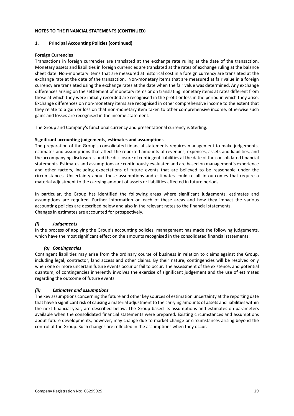#### **1. Principal Accounting Policies (continued)**

#### **Foreign Currencies**

Transactions in foreign currencies are translated at the exchange rate ruling at the date of the transaction. Monetary assets and liabilities in foreign currencies are translated at the rates of exchange ruling at the balance sheet date. Non‐monetary items that are measured at historical cost in a foreign currency are translated at the exchange rate at the date of the transaction. Non-monetary items that are measured at fair value in a foreign currency are translated using the exchange rates at the date when the fair value was determined. Any exchange differences arising on the settlement of monetary items or on translating monetary items at rates different from those at which they were initially recorded are recognised in the profit or loss in the period in which they arise. Exchange differences on non‐monetary items are recognised in other comprehensive income to the extent that they relate to a gain or loss on that non-monetary item taken to other comprehensive income, otherwise such gains and losses are recognised in the income statement.

The Group and Company's functional currency and presentational currency is Sterling.

#### **Significant accounting judgements, estimates and assumptions**

The preparation of the Group's consolidated financial statements requires management to make judgements, estimates and assumptions that affect the reported amounts of revenues, expenses, assets and liabilities, and the accompanying disclosures, and the disclosure of contingent liabilities at the date of the consolidated financial statements. Estimates and assumptions are continuously evaluated and are based on management's experience and other factors, including expectations of future events that are believed to be reasonable under the circumstances. Uncertainty about these assumptions and estimates could result in outcomes that require a material adjustment to the carrying amount of assets or liabilities affected in future periods.

In particular, the Group has identified the following areas where significant judgements, estimates and assumptions are required. Further information on each of these areas and how they impact the various accounting policies are described below and also in the relevant notes to the financial statements. Changes in estimates are accounted for prospectively.

## *(i) Judgements*

In the process of applying the Group's accounting policies, management has made the following judgements, which have the most significant effect on the amounts recognised in the consolidated financial statements:

## *(a) Contingencies*

Contingent liabilities may arise from the ordinary course of business in relation to claims against the Group, including legal, contractor, land access and other claims. By their nature, contingencies will be resolved only when one or more uncertain future events occur or fail to occur. The assessment of the existence, and potential quantum, of contingencies inherently involves the exercise of significant judgement and the use of estimates regarding the outcome of future events.

#### *(ii) Estimates and assumptions*

The key assumptions concerning the future and other key sources of estimation uncertainty at the reporting date that have a significant risk of causing a material adjustment to the carrying amounts of assets and liabilities within the next financial year, are described below. The Group based its assumptions and estimates on parameters available when the consolidated financial statements were prepared. Existing circumstances and assumptions about future developments, however, may change due to market change or circumstances arising beyond the control of the Group. Such changes are reflected in the assumptions when they occur.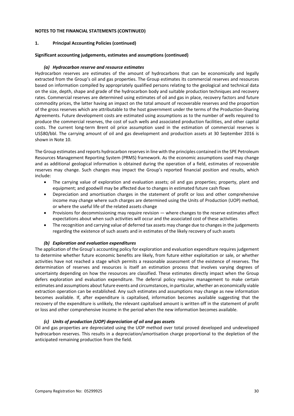## **1. Principal Accounting Policies (continued)**

#### **Significant accounting judgements, estimates and assumptions (continued)**

#### *(a) Hydrocarbon reserve and resource estimates*

Hydrocarbon reserves are estimates of the amount of hydrocarbons that can be economically and legally extracted from the Group's oil and gas properties. The Group estimates its commercial reserves and resources based on information compiled by appropriately qualified persons relating to the geological and technical data on the size, depth, shape and grade of the hydrocarbon body and suitable production techniques and recovery rates. Commercial reserves are determined using estimates of oil and gas in place, recovery factors and future commodity prices, the latter having an impact on the total amount of recoverable reserves and the proportion of the gross reserves which are attributable to the host government under the terms of the Production‐Sharing Agreements. Future development costs are estimated using assumptions as to the number of wells required to produce the commercial reserves, the cost of such wells and associated production facilities, and other capital costs. The current long-term Brent oil price assumption used in the estimation of commercial reserves is US\$80/bbl. The carrying amount of oil and gas development and production assets at 30 September 2016 is shown in Note 10.

The Group estimates and reports hydrocarbon reserves in line with the principles contained in the SPE Petroleum Resources Management Reporting System (PRMS) framework. As the economic assumptions used may change and as additional geological information is obtained during the operation of a field, estimates of recoverable reserves may change. Such changes may impact the Group's reported financial position and results, which include:

- The carrying value of exploration and evaluation assets; oil and gas properties; property, plant and equipment; and goodwill may be affected due to changes in estimated future cash flows
- Depreciation and amortisation charges in the statement of profit or loss and other comprehensive income may change where such charges are determined using the Units of Production (UOP) method, or where the useful life of the related assets change
- Provisions for decommissioning may require revision where changes to the reserve estimates affect expectations about when such activities will occur and the associated cost of these activities
- The recognition and carrying value of deferred tax assets may change due to changes in the judgements regarding the existence of such assets and in estimates of the likely recovery of such assets

#### *(b) Exploration and evaluation expenditures*

The application of the Group's accounting policy for exploration and evaluation expenditure requires judgement to determine whether future economic benefits are likely, from future either exploitation or sale, or whether activities have not reached a stage which permits a reasonable assessment of the existence of reserves. The determination of reserves and resources is itself an estimation process that involves varying degrees of uncertainty depending on how the resources are classified. These estimates directly impact when the Group defers exploration and evaluation expenditure. The deferral policy requires management to make certain estimates and assumptions about future events and circumstances, in particular, whether an economically viable extraction operation can be established. Any such estimates and assumptions may change as new information becomes available. If, after expenditure is capitalised, information becomes available suggesting that the recovery of the expenditure is unlikely, the relevant capitalised amount is written off in the statement of profit or loss and other comprehensive income in the period when the new information becomes available.

#### *(c) Units of production (UOP) depreciation of oil and gas assets*

Oil and gas properties are depreciated using the UOP method over total proved developed and undeveloped hydrocarbon reserves. This results in a depreciation/amortisation charge proportional to the depletion of the anticipated remaining production from the field.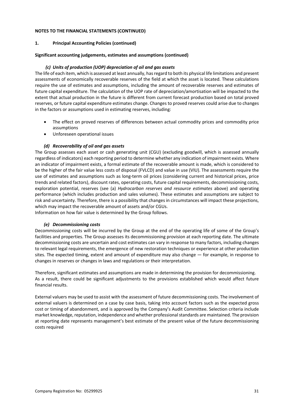## **1. Principal Accounting Policies (continued)**

## **Significant accounting judgements, estimates and assumptions (continued)**

#### *(c) Units of production (UOP) depreciation of oil and gas assets*

The life of each item, which is assessed at least annually, has regard to both its physical life limitations and present assessments of economically recoverable reserves of the field at which the asset is located. These calculations require the use of estimates and assumptions, including the amount of recoverable reserves and estimates of future capital expenditure. The calculation of the UOP rate of depreciation/amortisation will be impacted to the extent that actual production in the future is different from current forecast production based on total proved reserves, or future capital expenditure estimates change. Changes to proved reserves could arise due to changes in the factors or assumptions used in estimating reserves, including:

- The effect on proved reserves of differences between actual commodity prices and commodity price assumptions
- Unforeseen operational issues

#### *(d) Recoverability of oil and gas assets*

The Group assesses each asset or cash generating unit (CGU) (excluding goodwill, which is assessed annually regardless of indicators) each reporting period to determine whether any indication of impairment exists. Where an indicator of impairment exists, a formal estimate of the recoverable amount is made, which is considered to be the higher of the fair value less costs of disposal (FVLCD) and value in use (VIU). The assessments require the use of estimates and assumptions such as long‐term oil prices (considering current and historical prices, price trends and related factors), discount rates, operating costs, future capital requirements, decommissioning costs, exploration potential, reserves (see (a) *Hydrocarbon reserves and resource estimates*  above) and operating performance (which includes production and sales volumes). These estimates and assumptions are subject to risk and uncertainty. Therefore, there is a possibility that changes in circumstances will impact these projections, which may impact the recoverable amount of assets and/or CGUs.

Information on how fair value is determined by the Group follows.

#### *(e) Decommissioning costs*

Decommissioning costs will be incurred by the Group at the end of the operating life of some of the Group's facilities and properties. The Group assesses its decommissioning provision at each reporting date. The ultimate decommissioning costs are uncertain and cost estimates can vary in response to many factors, including changes to relevant legal requirements, the emergence of new restoration techniques or experience at other production sites. The expected timing, extent and amount of expenditure may also change — for example, in response to changes in reserves or changes in laws and regulations or their interpretation.

Therefore, significant estimates and assumptions are made in determining the provision for decommissioning. As a result, there could be significant adjustments to the provisions established which would affect future financial results.

External valuers may be used to assist with the assessment of future decommissioning costs. The involvement of external valuers is determined on a case by case basis, taking into account factors such as the expected gross cost or timing of abandonment, and is approved by the Company's Audit Committee. Selection criteria include market knowledge, reputation, independence and whether professional standards are maintained. The provision at reporting date represents management's best estimate of the present value of the future decommissioning costs required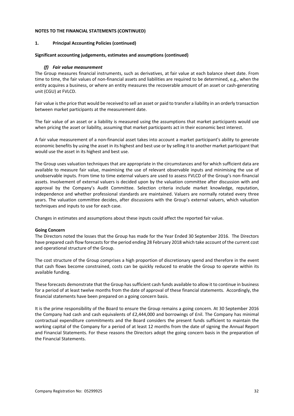## **1. Principal Accounting Policies (continued)**

#### **Significant accounting judgements, estimates and assumptions (continued)**

#### *(f) Fair value measurement*

The Group measures financial instruments, such as derivatives, at fair value at each balance sheet date. From time to time, the fair values of non-financial assets and liabilities are required to be determined, e.g., when the entity acquires a business, or where an entity measures the recoverable amount of an asset or cash-generating unit (CGU) at FVLCD.

Fair value is the price that would be received to sell an asset or paid to transfer a liability in an orderly transaction between market participants at the measurement date.

The fair value of an asset or a liability is measured using the assumptions that market participants would use when pricing the asset or liability, assuming that market participants act in their economic best interest.

A fair value measurement of a non‐financial asset takes into account a market participant's ability to generate economic benefits by using the asset in its highest and best use or by selling it to another market participant that would use the asset in its highest and best use.

The Group uses valuation techniques that are appropriate in the circumstances and for which sufficient data are available to measure fair value, maximising the use of relevant observable inputs and minimising the use of unobservable inputs. From time to time external valuers are used to assess FVLCD of the Group's non‐financial assets. Involvement of external valuers is decided upon by the valuation committee after discussion with and approval by the Company's Audit Committee. Selection criteria include market knowledge, reputation, independence and whether professional standards are maintained. Valuers are normally rotated every three years. The valuation committee decides, after discussions with the Group's external valuers, which valuation techniques and inputs to use for each case.

Changes in estimates and assumptions about these inputs could affect the reported fair value.

#### **Going Concern**

The Directors noted the losses that the Group has made for the Year Ended 30 September 2016. The Directors have prepared cash flow forecasts for the period ending 28 February 2018 which take account of the current cost and operational structure of the Group.

The cost structure of the Group comprises a high proportion of discretionary spend and therefore in the event that cash flows become constrained, costs can be quickly reduced to enable the Group to operate within its available funding.

These forecasts demonstrate that the Group has sufficient cash funds available to allow it to continue in business for a period of at least twelve months from the date of approval of these financial statements. Accordingly, the financial statements have been prepared on a going concern basis.

It is the prime responsibility of the Board to ensure the Group remains a going concern. At 30 September 2016 the Company had cash and cash equivalents of £2,444,000 and borrowings of £nil. The Company has minimal contractual expenditure commitments and the Board considers the present funds sufficient to maintain the working capital of the Company for a period of at least 12 months from the date of signing the Annual Report and Financial Statements. For these reasons the Directors adopt the going concern basis in the preparation of the Financial Statements.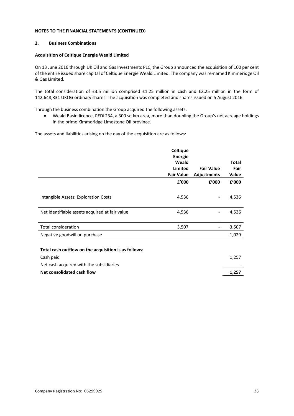## **2. Business Combinations**

#### **Acquisition of Celtique Energie Weald Limited**

On 13 June 2016 through UK Oil and Gas Investments PLC, the Group announced the acquisition of 100 per cent of the entire issued share capital of Celtique Energie Weald Limited. The company was re‐named Kimmeridge Oil & Gas Limited.

The total consideration of  $E3.5$  million comprised  $E1.25$  million in cash and  $E2.25$  million in the form of 142,648,831 UKOG ordinary shares. The acquisition was completed and shares issued on 5 August 2016.

Through the business combination the Group acquired the following assets:

 Weald Basin licence, PEDL234, a 300 sq km area, more than doubling the Group's net acreage holdings in the prime Kimmeridge Limestone Oil province.

The assets and liabilities arising on the day of the acquisition are as follows:

**Total cash outflow on the acquisition is as follows:** 

|                                                | <b>Celtique</b>              |                                         |               |
|------------------------------------------------|------------------------------|-----------------------------------------|---------------|
|                                                | <b>Energie</b><br>Weald      |                                         | <b>Total</b>  |
|                                                | Limited<br><b>Fair Value</b> | <b>Fair Value</b><br><b>Adjustments</b> | Fair<br>Value |
|                                                | £'000                        | £'000                                   | £'000         |
| Intangible Assets: Exploration Costs           | 4,536                        | $\overline{\phantom{a}}$                | 4,536         |
| Net identifiable assets acquired at fair value | 4,536                        |                                         | 4,536         |
|                                                |                              |                                         |               |
| <b>Total consideration</b>                     | 3,507                        | ٠                                       | 3,507         |
| Negative goodwill on purchase                  |                              |                                         | 1,029         |
|                                                |                              |                                         |               |

| Cash paid                               | 1.257 |
|-----------------------------------------|-------|
| Net cash acquired with the subsidiaries | -     |
| Net consolidated cash flow              | 1,257 |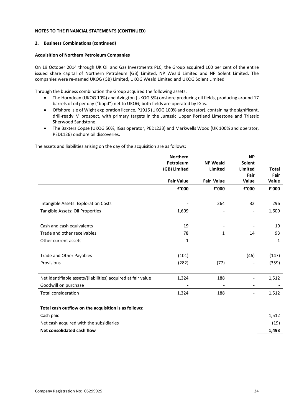## **2. Business Combinations (continued)**

#### **Acquisition of Northern Petroleum Companies**

On 19 October 2014 through UK Oil and Gas Investments PLC, the Group acquired 100 per cent of the entire issued share capital of Northern Petroleum (GB) Limited, NP Weald Limited and NP Solent Limited. The companies were re‐named UKOG (GB) Limited, UKOG Weald Limited and UKOG Solent Limited.

Through the business combination the Group acquired the following assets:

- The Horndean (UKOG 10%) and Avington (UKOG 5%) onshore producing oil fields, producing around 17 barrels of oil per day ("bopd") net to UKOG; both fields are operated by IGas.
- Offshore Isle of Wight exploration licence, P1916 (UKOG 100% and operator), containing the significant, drill‐ready M prospect, with primary targets in the Jurassic Upper Portland Limestone and Triassic Sherwood Sandstone.
- The Baxters Copse (UKOG 50%, IGas operator, PEDL233) and Markwells Wood (UK 100% and operator, PEDL126) onshore oil discoveries.

The assets and liabilities arising on the day of the acquisition are as follows:

| <b>Fair Value</b><br>£'000 | <b>Fair Value</b> | Fair<br>Value                | Fair  |
|----------------------------|-------------------|------------------------------|-------|
|                            |                   |                              |       |
|                            |                   |                              | Value |
|                            | £'000             | £'000                        | £'000 |
|                            | 264               | 32                           | 296   |
| 1,609                      |                   | $\qquad \qquad \blacksquare$ | 1,609 |
| 19                         |                   |                              | 19    |
| 78                         | 1                 | 14                           | 93    |
| 1                          |                   |                              | 1     |
| (101)                      |                   | (46)                         | (147) |
| (282)                      | (77)              | $\overline{\phantom{a}}$     | (359) |
| 1,324                      | 188               |                              | 1,512 |
|                            |                   |                              |       |
| 1,324                      | 188               | $\overline{\phantom{a}}$     | 1,512 |
|                            |                   |                              |       |

| Net consolidated cash flow              | 1,493 |
|-----------------------------------------|-------|
| Net cash acquired with the subsidiaries | (19)  |
| Cash paid                               | 1.512 |
|                                         |       |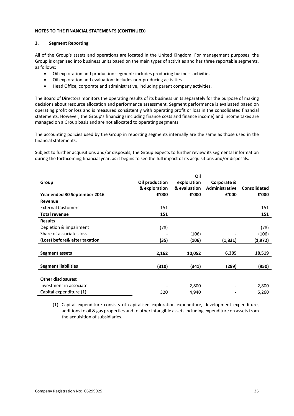## **3. Segment Reporting**

All of the Group's assets and operations are located in the United Kingdom. For management purposes, the Group is organised into business units based on the main types of activities and has three reportable segments, as follows:

- Oil exploration and production segment: includes producing business activities
- Oil exploration and evaluation: includes non‐producing activities.
- Head Office, corporate and administrative, including parent company activities.

The Board of Directors monitors the operating results of its business units separately for the purpose of making decisions about resource allocation and performance assessment. Segment performance is evaluated based on operating profit or loss and is measured consistently with operating profit or loss in the consolidated financial statements. However, the Group's financing (including finance costs and finance income) and income taxes are managed on a Group basis and are not allocated to operating segments.

The accounting policies used by the Group in reporting segments internally are the same as those used in the financial statements.

Subject to further acquisitions and/or disposals, the Group expects to further review its segmental information during the forthcoming financial year, as it begins to see the full impact of its acquisitions and/or disposals.

|                               |                | Oil          |                       |              |
|-------------------------------|----------------|--------------|-----------------------|--------------|
| Group                         | Oil production | exploration  | Corporate &           |              |
|                               | & exploration  | & evaluation | <b>Administrative</b> | Consolidated |
| Year ended 30 September 2016  | f'000          | £'000        | f'000                 | f'000        |
| Revenue                       |                |              |                       |              |
| <b>External Customers</b>     | 151            |              |                       | 151          |
| <b>Total revenue</b>          | 151            | -            |                       | 151          |
| <b>Results</b>                |                |              |                       |              |
| Depletion & impairment        | (78)           |              |                       | (78)         |
| Share of associates loss      |                | (106)        |                       | (106)        |
| (Loss) before& after taxation | (35)           | (106)        | (1,831)               | (1,972)      |
|                               |                |              |                       |              |
| <b>Segment assets</b>         | 2,162          | 10,052       | 6,305                 | 18,519       |
|                               |                |              |                       |              |
| <b>Segment liabilities</b>    | (310)          | (341)        | (299)                 | (950)        |
|                               |                |              |                       |              |
| <b>Other disclosures:</b>     |                |              |                       |              |
| Investment in associate       |                | 2,800        |                       | 2,800        |
| Capital expenditure (1)       | 320            | 4,940        |                       | 5,260        |

(1) Capital expenditure consists of capitalised exploration expenditure, development expenditure, additions to oil & gas properties and to other intangible assets including expenditure on assets from the acquisition of subsidiaries.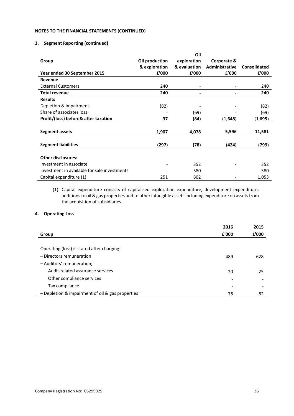# **3. Segment Reporting (continued)**

|                                              |                | Oil          |                       |                     |
|----------------------------------------------|----------------|--------------|-----------------------|---------------------|
| Group                                        | Oil production | exploration  | Corporate &           |                     |
|                                              | & exploration  | & evaluation | <b>Administrative</b> | <b>Consolidated</b> |
| Year ended 30 September 2015                 | f'000          | £'000        | £'000                 | f'000               |
| Revenue                                      |                |              |                       |                     |
| <b>External Customers</b>                    | 240            |              |                       | 240                 |
| <b>Total revenue</b>                         | 240            |              |                       | 240                 |
| <b>Results</b>                               |                |              |                       |                     |
| Depletion & impairment                       | (82)           |              |                       | (82)                |
| Share of associates loss                     |                | (69)         |                       | (69)                |
| Profit/(loss) before& after taxation         | 37             | (84)         | (1,648)               | (1,695)             |
|                                              |                |              |                       |                     |
| Segment assets                               | 1,907          | 4,078        | 5,596                 | 11,581              |
|                                              |                |              |                       |                     |
| <b>Segment liabilities</b>                   | (297)          | (78)         | (424)                 | (799)               |
|                                              |                |              |                       |                     |
| <b>Other disclosures:</b>                    |                |              |                       |                     |
| Investment in associate                      |                | 352          |                       | 352                 |
| Investment in available for sale investments |                | 580          |                       | 580                 |
| Capital expenditure (1)                      | 251            | 802          |                       | 1,053               |

(1) Capital expenditure consists of capitalised exploration expenditure, development expenditure, additions to oil & gas properties and to other intangible assets including expenditure on assets from the acquisition of subsidiaries.

# **4. Operating Loss**

|                                                  | 2016  | 2015  |
|--------------------------------------------------|-------|-------|
| Group                                            | £'000 | £'000 |
|                                                  |       |       |
| Operating (loss) is stated after charging:       |       |       |
| - Directors remuneration                         | 489   | 628   |
| - Auditors' remuneration;                        |       |       |
| Audit-related assurance services                 | 20    | 25    |
| Other compliance services                        | ٠     |       |
| Tax compliance                                   |       |       |
| - Depletion & impairment of oil & gas properties | 78    | 82    |
|                                                  |       |       |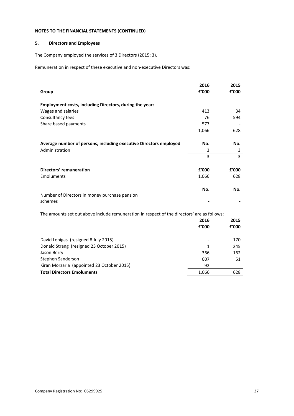# **5. Directors and Employees**

The Company employed the services of 3 Directors (2015: 3).

Remuneration in respect of these executive and non‐executive Directors was:

|                                                                                             | 2016  | 2015           |
|---------------------------------------------------------------------------------------------|-------|----------------|
| Group                                                                                       | £'000 | ${\bf f}$ '000 |
|                                                                                             |       |                |
| Employment costs, including Directors, during the year:                                     |       |                |
| Wages and salaries                                                                          | 413   | 34             |
| Consultancy fees                                                                            | 76    | 594            |
| Share based payments                                                                        | 577   |                |
|                                                                                             | 1,066 | 628            |
| Average number of persons, including executive Directors employed                           | No.   | No.            |
| Administration                                                                              | 3     | 3              |
|                                                                                             | 3     | 3              |
|                                                                                             |       |                |
| Directors' remuneration                                                                     | £'000 | £'000          |
| Emoluments                                                                                  | 1,066 | 628            |
|                                                                                             |       |                |
|                                                                                             | No.   | No.            |
| Number of Directors in money purchase pension<br>schemes                                    |       |                |
| The amounts set out above include remuneration in respect of the directors' are as follows: |       |                |
|                                                                                             | 2016  | 2015           |
|                                                                                             | £'000 | £'000          |
|                                                                                             |       |                |
| David Lenigas (resigned 8 July 2015)                                                        |       | 170            |
| Donald Strang (resigned 23 October 2015)                                                    | 1     | 245            |
| Jason Berry                                                                                 | 366   | 162            |
| Stephen Sanderson                                                                           | 607   | 51             |
| Kiran Morzaria (appointed 23 October 2015)                                                  | 92    |                |

**Total Directors Emoluments**  1,066 628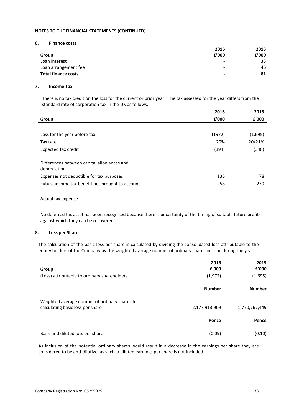## **6. Finance costs**

|                            | 2016                     | 2015  |
|----------------------------|--------------------------|-------|
| Group                      | f'000                    | £'000 |
| Loan interest              | $\overline{\phantom{a}}$ | 35    |
| Loan arrangement fee       | $\overline{\phantom{a}}$ | 46    |
| <b>Total finance costs</b> | $\overline{\phantom{a}}$ | 81    |

## **7. Income Tax**

There is no tax credit on the loss for the current or prior year. The tax assessed for the year differs from the standard rate of corporation tax in the UK as follows:

|                                                  | 2016                     | 2015    |
|--------------------------------------------------|--------------------------|---------|
| Group                                            | £'000                    | £'000   |
|                                                  |                          |         |
| Loss for the year before tax                     | (1972)                   | (1,695) |
| Tax rate                                         | 20%                      | 20/21%  |
| Expected tax credit                              | (394)                    | (348)   |
|                                                  |                          |         |
| Differences between capital allowances and       |                          |         |
| depreciation                                     | $\overline{\phantom{0}}$ |         |
| Expenses not deductible for tax purposes         | 136                      | 78      |
| Future income tax benefit not brought to account | 258                      | 270     |
|                                                  |                          |         |
| Actual tax expense                               |                          |         |

No deferred tax asset has been recognised because there is uncertainty of the timing of suitable future profits against which they can be recovered.

## **8. Loss per Share**

The calculation of the basic loss per share is calculated by dividing the consolidated loss attributable to the equity holders of the Company by the weighted average number of ordinary shares in issue during the year.

|                                                | 2016          | 2015          |
|------------------------------------------------|---------------|---------------|
| Group                                          | £'000         | £'000         |
| (Loss) attributable to ordinary shareholders   | (1, 972)      | (1,695)       |
|                                                |               |               |
|                                                | <b>Number</b> | <b>Number</b> |
|                                                |               |               |
| Weighted average number of ordinary shares for |               |               |
| calculating basic loss per share               | 2,177,913,909 | 1,770,767,449 |
|                                                |               |               |
|                                                | Pence         | Pence         |
|                                                |               |               |
| Basic and diluted loss per share               | (0.09)        | (0.10)        |

As inclusion of the potential ordinary shares would result in a decrease in the earnings per share they are considered to be anti-dilutive, as such, a diluted earnings per share is not included..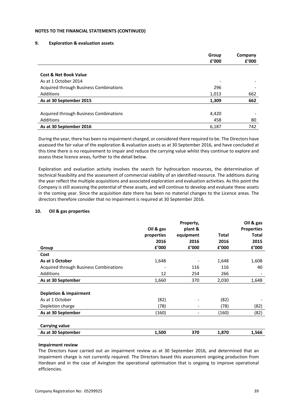## **9. Exploration & evaluation assets**

|                                               | Group<br>f'000 | Company<br>f'000 |
|-----------------------------------------------|----------------|------------------|
|                                               |                |                  |
| <b>Cost &amp; Net Book Value</b>              |                |                  |
| As at 1 October 2014                          |                |                  |
| <b>Acquired through Business Combinations</b> | 296            |                  |
| <b>Additions</b>                              | 1,013          | 662              |
| As at 30 September 2015                       | 1,309          | 662              |
| <b>Acquired through Business Combinations</b> | 4,420          |                  |
| Additions                                     | 458            | 80               |
| As at 30 September 2016                       | 6,187          | 742              |

During the year, there has been no impairment charged, or considered there required to be. The Directors have assessed the fair value of the exploration & evaluation assets as at 30 September 2016, and have concluded at this time there is no requirement to impair and reduce the carrying value whilst they continue to explore and assess these licence areas, further to the detail below.

Exploration and evaluation activity involves the search for hydrocarbon resources, the determination of technical feasibility and the assessment of commercial viability of an identified resource. The additions during the year reflect the multiple acquisitions and associated exploration and evaluation activities. As this point the Company is still assessing the potential of these assets, and will continue to develop and evaluate these assets in the coming year. Since the acquisition date there has been no material changes to the Licence areas. The directors therefore consider that no impairment is required at 30 September 2016.

## **10. Oil & gas properties**

|            | Property,<br>plant & |       | Oil & gas<br><b>Properties</b> |
|------------|----------------------|-------|--------------------------------|
| properties | equipment            | Total | <b>Total</b>                   |
| 2016       | 2016                 | 2016  | 2015                           |
| £'000      | f'000                | f'000 | f'000                          |
|            |                      |       |                                |
| 1,648      |                      | 1,648 | 1,608                          |
|            | 116                  | 116   | 40                             |
| 12         | 254                  | 266   |                                |
| 1,660      | 370                  | 2,030 | 1,648                          |
|            |                      |       |                                |
|            |                      |       |                                |
| (82)       |                      | (82)  |                                |
| (78)       |                      | (78)  | (82)                           |
| (160)      |                      | (160) | (82)                           |
|            |                      |       |                                |
|            |                      |       |                                |
| 1,500      | 370                  | 1,870 | 1,566                          |
|            | Oil & gas            |       |                                |

#### **Impairment review**

The Directors have carried out an impairment review as at 30 September 2016, and determined that an impairment charge is not currently required. The Directors based this assessment ongoing production from Hordean and in the case of Avington the operational optimisation that is ongoing to improve operational efficiencies.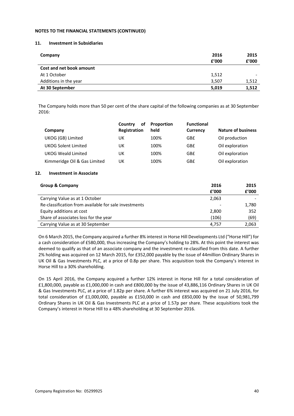## **11. Investment in Subsidiaries**

| Company                  | 2016<br>f'000 | 2015<br>£'000 |
|--------------------------|---------------|---------------|
| Cost and net book amount |               |               |
| At 1 October             | 1,512         | -             |
| Additions in the year    | 3,507         | 1,512         |
| At 30 September          | 5,019         | 1,512         |

The Company holds more than 50 per cent of the share capital of the following companies as at 30 September 2016:

| Company                      | οf<br>Country<br>Registration | Proportion<br>held | <b>Functional</b><br>Currency | <b>Nature of business</b> |
|------------------------------|-------------------------------|--------------------|-------------------------------|---------------------------|
| UKOG (GB) Limited            | UK                            | 100%               | GB£                           | Oil production            |
| <b>UKOG Solent Limited</b>   | UK                            | 100%               | GB£                           | Oil exploration           |
| <b>UKOG Weald Limited</b>    | UK                            | 100%               | GB£                           | Oil exploration           |
| Kimmeridge Oil & Gas Limited | UK                            | 100%               | GB£                           | Oil exploration           |

#### **12. Investment in Associate**

| Group & Company                                       | 2016  | 2015  |
|-------------------------------------------------------|-------|-------|
|                                                       | f'000 | £'000 |
| Carrying Value as at 1 October                        | 2,063 |       |
| Re-classification from available for sale investments |       | 1,780 |
| Equity additions at cost                              | 2,800 | 352   |
| Share of associates loss for the year                 | (106) | (69)  |
| Carrying Value as at 30 September                     | 4,757 | 2,063 |

On 6 March 2015, the Company acquired a further 8% interest in Horse Hill Developments Ltd ("Horse Hill") for a cash consideration of £580,000, thus increasing the Company's holding to 28%. At this point the interest was deemed to qualify as that of an associate company and the investment re‐classified from this date. A further 2% holding was acquired on 12 March 2015, for £352,000 payable by the issue of 44million Ordinary Shares in UK Oil & Gas Investments PLC, at a price of 0.8p per share. This acquisition took the Company's interest in Horse Hill to a 30% shareholding.

On 15 April 2016, the Company acquired a further 12% interest in Horse Hill for a total consideration of £1,800,000, payable as £1,000,000 in cash and £800,000 by the issue of 43,886,116 Ordinary Shares in UK Oil & Gas Investments PLC, at a price of 1.82p per share. A further 6% interest was acquired on 21 July 2016, for total consideration of  $£1,000,000$ , payable as  $£150,000$  in cash and  $£850,000$  by the issue of  $50,981,799$ Ordinary Shares in UK Oil & Gas Investments PLC at a price of 1.57p per share. These acquisitions took the Company's interest in Horse Hill to a 48% shareholding at 30 September 2016.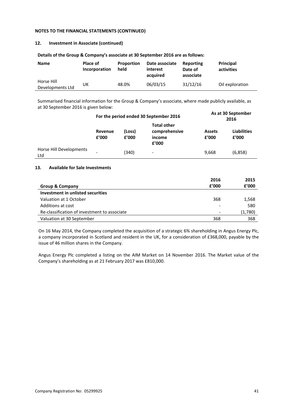## **12. Investment in Associate (continued)**

| <b>Name</b>                    | Place of<br>Incorporation | Proportion<br>held | Date associate<br>interest<br>acquired | Reporting<br>Date of<br>associate | Principal<br>activities |
|--------------------------------|---------------------------|--------------------|----------------------------------------|-----------------------------------|-------------------------|
| Horse Hill<br>Developments Ltd | UK                        | 48.0%              | 06/03/15                               | 31/12/16                          | Oil exploration         |

#### **Details of the Group & Company's associate at 30 September 2016 are as follows:**

Summarised financial information for the Group & Company's associate, where made publicly available, as at 30 September 2016 is given below:

|                                |                  | For the period ended 30 September 2016 |                                                        | As at 30 September<br>2016 |                             |
|--------------------------------|------------------|----------------------------------------|--------------------------------------------------------|----------------------------|-----------------------------|
|                                | Revenue<br>£'000 | (Loss)<br>£'000                        | <b>Total other</b><br>comprehensive<br>income<br>f'000 | <b>Assets</b><br>£'000     | <b>Liabilities</b><br>£'000 |
| Horse Hill Developments<br>Ltd |                  | (340)                                  | $\overline{\phantom{a}}$                               | 9,668                      | (6,858)                     |

#### **13. Available for Sale Investments**

| <b>Group &amp; Company</b>                   | 2016<br>f'000 | 2015<br>£'000 |
|----------------------------------------------|---------------|---------------|
| Investment in unlisted securities            |               |               |
| Valuation at 1 October                       | 368           | 1,568         |
| Additions at cost                            |               | 580           |
| Re-classification of investment to associate |               | (1,780)       |
| Valuation at 30 September                    | 368           | 368           |

On 16 May 2014, the Company completed the acquisition of a strategic 6% shareholding in Angus Energy Plc, a company incorporated in Scotland and resident in the UK, for a consideration of £368,000, payable by the issue of 46 million shares in the Company.

Angus Energy Plc completed a listing on the AIM Market on 14 November 2016. The Market value of the Company's shareholding as at 21 February 2017 was £810,000.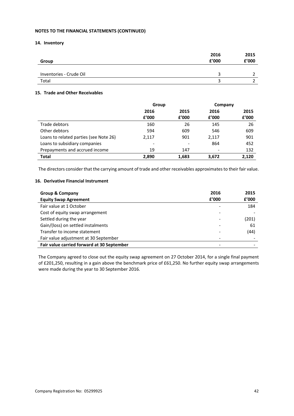#### **14. Inventory**

|                         | 2016  | 2015  |
|-------------------------|-------|-------|
| Group                   | £'000 | £'000 |
|                         |       |       |
| Inventories - Crude Oil |       |       |
| Total                   |       |       |

## **15. Trade and Other Receivables**

|                                        | Group        |       | Company |       |      |  |  |  |  |      |
|----------------------------------------|--------------|-------|---------|-------|------|--|--|--|--|------|
|                                        | 2016<br>2015 |       |         |       | 2016 |  |  |  |  | 2015 |
|                                        | £'000        | f'000 | f'000   | £'000 |      |  |  |  |  |      |
| Trade debtors                          | 160          | 26    | 145     | 26    |      |  |  |  |  |      |
| Other debtors                          | 594          | 609   | 546     | 609   |      |  |  |  |  |      |
| Loans to related parties (see Note 26) | 2,117        | 901   | 2,117   | 901   |      |  |  |  |  |      |
| Loans to subsidiary companies          |              |       | 864     | 452   |      |  |  |  |  |      |
| Prepayments and accrued income         | 19           | 147   |         | 132   |      |  |  |  |  |      |
| <b>Total</b>                           | 2.890        | 1,683 | 3,672   | 2.120 |      |  |  |  |  |      |

The directors consider that the carrying amount of trade and other receivables approximates to their fair value.

# **16. Derivative Financial Instrument**

| <b>Group &amp; Company</b>                 | 2016  | 2015  |
|--------------------------------------------|-------|-------|
| <b>Equity Swap Agreement</b>               | f'000 | £'000 |
| Fair value at 1 October                    |       | 184   |
| Cost of equity swap arrangement            |       |       |
| Settled during the year                    |       | (201) |
| Gain/(loss) on settled instalments         |       | 61    |
| Transfer to income statement               |       | (44)  |
| Fair value adjustment at 30 September      |       |       |
| Fair value carried forward at 30 September |       |       |

The Company agreed to close out the equity swap agreement on 27 October 2014, for a single final payment of £201,250, resulting in a gain above the benchmark price of £61,250. No further equity swap arrangements were made during the year to 30 September 2016.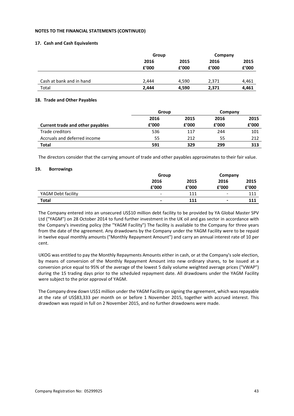## **17. Cash and Cash Equivalents**

|                          | Group |       | Company |       |
|--------------------------|-------|-------|---------|-------|
|                          | 2016  | 2015  | 2016    | 2015  |
|                          | £'000 | £'000 | f'000   | £'000 |
|                          |       |       |         |       |
| Cash at bank and in hand | 2.444 | 4,590 | 2,371   | 4,461 |
| Total                    | 2.444 | 4,590 | 2,371   | 4,461 |

## **18. Trade and Other Payables**

|                                  | Group |       | Company |       |
|----------------------------------|-------|-------|---------|-------|
|                                  | 2016  | 2015  | 2016    | 2015  |
| Current trade and other payables | f'000 | f'000 | f'000   | £'000 |
| Trade creditors                  | 536   | 117   | 244     | 101   |
| Accruals and deferred income     | 55    | 212   | 55      | 212   |
| <b>Total</b>                     | 591   | 329   | 299     | 313   |

The directors consider that the carrying amount of trade and other payables approximates to their fair value.

#### **19. Borrowings**

|                    | Group                    |       | Company                      |       |      |      |
|--------------------|--------------------------|-------|------------------------------|-------|------|------|
|                    | 2016                     |       |                              | 2015  | 2016 | 2015 |
|                    | £'000                    | £'000 | £'000                        | £'000 |      |      |
| YAGM Debt facility | $\overline{\phantom{a}}$ | 111   | $\qquad \qquad \blacksquare$ | 111   |      |      |
| <b>Total</b>       | -                        | 111   | ۰                            | 111   |      |      |

The Company entered into an unsecured US\$10 million debt facility to be provided by YA Global Master SPV Ltd ("YAGM") on 28 October 2014 to fund further investment in the UK oil and gas sector in accordance with the Company's investing policy (the "YAGM Facility") The facility is available to the Company for three years from the date of the agreement. Any drawdowns by the Company under the YAGM Facility were to be repaid in twelve equal monthly amounts ("Monthly Repayment Amount") and carry an annual interest rate of 10 per cent.

UKOG was entitled to pay the Monthly Repayments Amounts either in cash, or at the Company's sole election, by means of conversion of the Monthly Repayment Amount into new ordinary shares, to be issued at a conversion price equal to 95% of the average of the lowest 5 daily volume weighted average prices ("VWAP") during the 15 trading days prior to the scheduled repayment date. All drawdowns under the YAGM Facility were subject to the prior approval of YAGM.

The Company drew down US\$1 million under the YAGM Facility on signing the agreement, which was repayable at the rate of US\$83,333 per month on or before 1 November 2015, together with accrued interest. This drawdown was repaid in full on 2 November 2015, and no further drawdowns were made.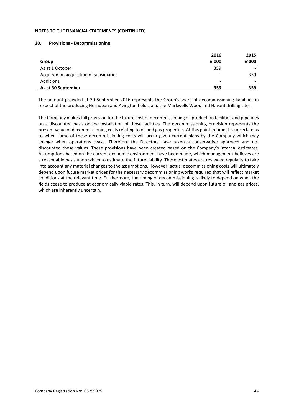#### **20. Provisions ‐ Decommissioning**

|                                         | 2016  | 2015  |
|-----------------------------------------|-------|-------|
| Group                                   | f'000 | f'000 |
| As at 1 October                         | 359   |       |
| Acquired on acquisition of subsidiaries |       | 359   |
| Additions                               | -     |       |
| As at 30 September                      | 359   | 359   |

The amount provided at 30 September 2016 represents the Group's share of decommissioning liabilities in respect of the producing Horndean and Avington fields, and the Markwells Wood and Havant drilling sites.

The Company makes full provision for the future cost of decommissioning oil production facilities and pipelines on a discounted basis on the installation of those facilities. The decommissioning provision represents the present value of decommissioning costs relating to oil and gas properties. At this point in time it is uncertain as to when some of these decommissioning costs will occur given current plans by the Company which may change when operations cease. Therefore the Directors have taken a conservative approach and not discounted these values. These provisions have been created based on the Company's internal estimates. Assumptions based on the current economic environment have been made, which management believes are a reasonable basis upon which to estimate the future liability. These estimates are reviewed regularly to take into account any material changes to the assumptions. However, actual decommissioning costs will ultimately depend upon future market prices for the necessary decommissioning works required that will reflect market conditions at the relevant time. Furthermore, the timing of decommissioning is likely to depend on when the fields cease to produce at economically viable rates. This, in turn, will depend upon future oil and gas prices, which are inherently uncertain.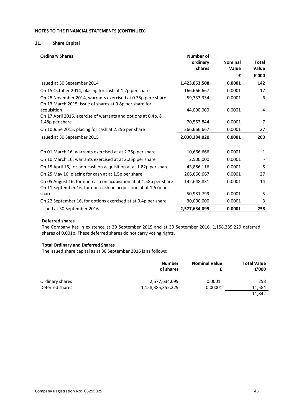# **21. Share Capital**

| <b>Ordinary Shares</b>                                                                                                 | Number of<br>ordinary<br>shares | <b>Nominal</b><br>Value | <b>Total</b><br>Value |
|------------------------------------------------------------------------------------------------------------------------|---------------------------------|-------------------------|-----------------------|
|                                                                                                                        |                                 | £                       | f'000                 |
| Issued at 30 September 2014                                                                                            | 1,423,063,508                   | 0.0001                  | 142                   |
| On 15 October 2014, placing for cash at 1.2p per share                                                                 | 166,666,667                     | 0.0001                  | 17                    |
| On 28 November 2014, warrants exercised at 0.35p pere share<br>On 13 March 2015, issue of shares at 0.8p per share for | 59,333,334                      | 0.0001                  | 6                     |
| acquisition                                                                                                            | 44,000,000                      | 0.0001                  | 4                     |
| On 17 April 2015, exercise of warrants and options at 0.4p, &                                                          |                                 |                         |                       |
| 1.48p per share                                                                                                        | 70,553,844                      | 0.0001                  | $\overline{7}$        |
| On 10 June 2015, placing for cash at 2.25p per share                                                                   | 266,666,667                     | 0.0001                  | 27                    |
| Issued at 30 September 2015                                                                                            | 2,030,284,020                   | 0.0001                  | 203                   |
|                                                                                                                        |                                 |                         |                       |
| On 01 March 16, warrants exercised at at 2.25p per share                                                               | 10,666,666                      | 0.0001                  | $\mathbf{1}$          |
| On 10 March 16, warrants exercised at at 2.25p per share                                                               | 2,500,000                       | 0.0001                  |                       |
| On 15 April 16, for non-cash on acquisition at at 1.82p per share                                                      | 43,886,116                      | 0.0001                  | 5                     |
| On 25 May 16, placing for cash at at 1.5p per share                                                                    | 266,666,667                     | 0.0001                  | 27                    |
| On 05 August 16, for non-cash on acquisition at at 1.58p per share                                                     | 142,648,831                     | 0.0001                  | 14                    |
| On 11 September 16, for non-cash on acquisition at at 1.67p per                                                        |                                 |                         |                       |
| share                                                                                                                  | 50,981,799                      | 0.0001                  | 5                     |
| On 22 September 16, for options exercised at at 0.4p per share                                                         | 30,000,000                      | 0.0001                  | 3                     |
| Issued at 30 September 2016                                                                                            | 2,577,634,099                   | 0.0001                  | 258                   |

## **Deferred shares**

The Company has in existence at 30 September 2015 and at 30 September 2016, 1,158,385,229 deferred shares of 0.001p. These deferred shares do not carry voting rights.

# **Total Ordinary and Deferred Shares**

The issued share capital as at 30 September 2016 is as follows:

|                 | <b>Number</b><br>of shares | <b>Nominal Value</b> | <b>Total Value</b><br>£'000 |
|-----------------|----------------------------|----------------------|-----------------------------|
| Ordinary shares | 2,577,634,099              | 0.0001               | 258                         |
| Deferred shares | 1,158,385,352,229          | 0.00001              | 11,584                      |
|                 |                            |                      | 11,842                      |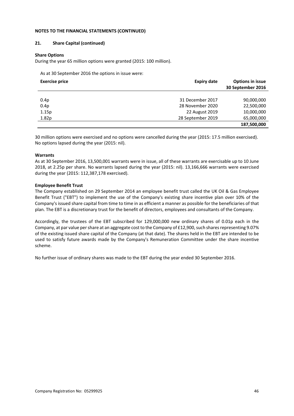## **21. Share Capital (continued)**

#### **Share Options**

During the year 65 million options were granted (2015: 100 million).

As at 30 September 2016 the options in issue were:

| <b>Exercise price</b> | <b>Expiry date</b> | Options in issue  |
|-----------------------|--------------------|-------------------|
|                       |                    | 30 September 2016 |
|                       |                    |                   |
| 0.4p                  | 31 December 2017   | 90,000,000        |
| 0.4p                  | 28 November 2020   | 22,500,000        |
| 1.15p                 | 22 August 2019     | 10,000,000        |
| 1.82p                 | 28 September 2019  | 65,000,000        |
|                       |                    | 187,500,000       |

30 million options were exercised and no options were cancelled during the year (2015: 17.5 million exercised). No options lapsed during the year (2015: nil).

#### **Warrants**

As at 30 September 2016, 13,500,001 warrants were in issue, all of these warrants are exercisable up to 10 June 2018, at 2.25p per share. No warrants lapsed during the year (2015: nil). 13,166,666 warrants were exercised during the year (2015: 112,387,178 exercised).

#### **Employee Benefit Trust**

The Company established on 29 September 2014 an employee benefit trust called the UK Oil & Gas Employee Benefit Trust ("EBT") to implement the use of the Company's existing share incentive plan over 10% of the Company's issued share capital from time to time in as efficient a manner as possible for the beneficiaries of that plan. The EBT is a discretionary trust for the benefit of directors, employees and consultants of the Company.

Accordingly, the trustees of the EBT subscribed for 129,000,000 new ordinary shares of 0.01p each in the Company, at par value per share at an aggregate cost to the Company of £12,900, such shares representing 9.07% of the existing issued share capital of the Company (at that date). The shares held in the EBT are intended to be used to satisfy future awards made by the Company's Remuneration Committee under the share incentive scheme.

No further issue of ordinary shares was made to the EBT during the year ended 30 September 2016.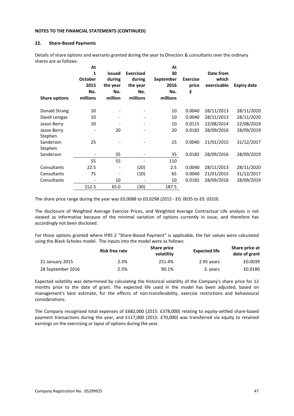## **22. Share‐Based Payments**

Details of share options and warrants granted during the year to Directors & consultants over the ordinary shares are as follows:

| <b>Share options</b> | At<br>1<br><b>October</b><br>2015<br>No.<br>millions | <b>Issued</b><br>during<br>the year<br>No.<br>million | <b>Exercised</b><br>during<br>the year<br>No.<br>millions | At<br>30<br>September<br>2016<br>No.<br>millions | <b>Exercise</b><br>price<br>£ | Date from<br>which<br>exercisable | Expiry date |
|----------------------|------------------------------------------------------|-------------------------------------------------------|-----------------------------------------------------------|--------------------------------------------------|-------------------------------|-----------------------------------|-------------|
| Donald Strang        | 10                                                   |                                                       |                                                           | 10                                               | 0.0040                        | 28/11/2013                        | 28/11/2020  |
| David Lenigas        | 10                                                   |                                                       |                                                           | 10                                               | 0.0040                        | 28/11/2013                        | 28/11/2020  |
| Jason Berry          | 10                                                   |                                                       |                                                           | 10                                               | 0.0115                        | 22/08/2014                        | 22/08/2019  |
| Jason Berry          | ٠                                                    | 20                                                    |                                                           | 20                                               | 0.0182                        | 28/09/2016                        | 28/09/2019  |
| Stephen              |                                                      |                                                       |                                                           |                                                  |                               |                                   |             |
| Sanderson            | 25                                                   |                                                       |                                                           | 25                                               | 0.0040                        | 21/01/2015                        | 31/12/2017  |
| Stephen              |                                                      |                                                       |                                                           |                                                  |                               |                                   |             |
| Sanderson            | ٠                                                    | 35                                                    |                                                           | 35                                               | 0.0182                        | 28/09/2016                        | 28/09/2019  |
|                      | 55                                                   | 55                                                    |                                                           | 110                                              |                               |                                   |             |
| Consultants          | 22.5                                                 | $\overline{\phantom{m}}$                              | (20)                                                      | 2.5                                              | 0.0040                        | 28/11/2013                        | 28/11/2020  |
| Consultants          | 75                                                   |                                                       | (10)                                                      | 65                                               | 0.0040                        | 21/01/2015                        | 31/12/2017  |
| Consultants          | $\overline{\phantom{a}}$                             | 10                                                    |                                                           | 10                                               | 0.0182                        | 28/09/2016                        | 28/09/2019  |
|                      | 152.5                                                | 65.0                                                  | (30)                                                      | 187.5                                            |                               |                                   |             |
|                      |                                                      |                                                       |                                                           |                                                  |                               |                                   |             |

The share price range during the year was £0.0088 to £0.0298 (2015 ‐ £0. 0035 to £0. 0310).

The disclosure of Weighted Average Exercise Prices, and Weighted Average Contractual Life analysis is not viewed as informative because of the minimal variation of options currently in issue, and therefore has accordingly not been disclosed.

For those options granted where IFRS 2 "Share‐Based Payment" is applicable, the fair values were calculated using the Black‐Scholes model. The inputs into the model were as follows:

|                   | <b>Risk free rate</b> | Share price<br>volatility | <b>Expected life</b> | Share price at<br>date of grant |
|-------------------|-----------------------|---------------------------|----------------------|---------------------------------|
| 21 January 2015   | 2.3%                  | 251.4%                    | 2.95 years           | £0.0039                         |
| 28 September 2016 | 2.5%                  | 90.1%                     | 3. years             | £0.0180                         |

Expected volatility was determined by calculating the historical volatility of the Company's share price for 12 months prior to the date of grant. The expected life used in the model has been adjusted, based on management's best estimate, for the effects of non-transferability, exercise restrictions and behavioural considerations.

The Company recognised total expenses of £682,000 (2015: £378,000) relating to equity-settled share-based payment transactions during the year, and £117,000 (2015: £70,000) was transferred via equity to retained earnings on the exercising or lapse of options during the year.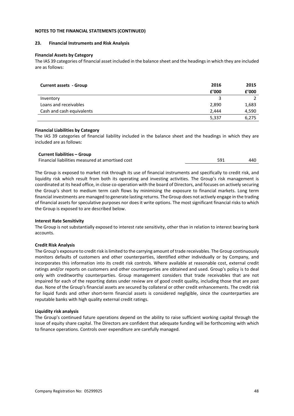#### **23. Financial Instruments and Risk Analysis**

#### **Financial Assets by Category**

The IAS 39 categories of financial asset included in the balance sheet and the headings in which they are included are as follows:

| <b>Current assets - Group</b> | 2016  | 2015  |
|-------------------------------|-------|-------|
|                               | f'000 | £'000 |
| Inventory                     | 3     |       |
| Loans and receivables         | 2,890 | 1,683 |
| Cash and cash equivalents     | 2,444 | 4,590 |
|                               | 5,337 | 6,275 |

#### **Financial Liabilities by Category**

The IAS 39 categories of financial liability included in the balance sheet and the headings in which they are included are as follows:

## **Current liabilities – Group**

| Financial liabilities measured at amortised cost | 440 |
|--------------------------------------------------|-----|
|                                                  |     |

The Group is exposed to market risk through its use of financial instruments and specifically to credit risk, and liquidity risk which result from both its operating and investing activities. The Group's risk management is coordinated at its head office, in close co-operation with the board of Directors, and focuses on actively securing the Group's short to medium term cash flows by minimising the exposure to financial markets. Long term financial investments are managed to generate lasting returns. The Group does not actively engage in the trading of financial assets for speculative purposes nor does it write options. The most significant financial risks to which the Group is exposed to are described below.

#### **Interest Rate Sensitivity**

The Group is not substantially exposed to interest rate sensitivity, other than in relation to interest bearing bank accounts.

#### **Credit Risk Analysis**

The Group's exposure to credit risk is limited to the carrying amount of trade receivables. The Group continuously monitors defaults of customers and other counterparties, identified either individually or by Company, and incorporates this information into its credit risk controls. Where available at reasonable cost, external credit ratings and/or reports on customers and other counterparties are obtained and used. Group's policy is to deal only with creditworthy counterparties. Group management considers that trade receivables that are not impaired for each of the reporting dates under review are of good credit quality, including those that are past due. None of the Group's financial assets are secured by collateral or other credit enhancements. The credit risk for liquid funds and other short-term financial assets is considered negligible, since the counterparties are reputable banks with high quality external credit ratings.

#### **Liquidity risk analysis**

The Group's continued future operations depend on the ability to raise sufficient working capital through the issue of equity share capital. The Directors are confident that adequate funding will be forthcoming with which to finance operations. Controls over expenditure are carefully managed.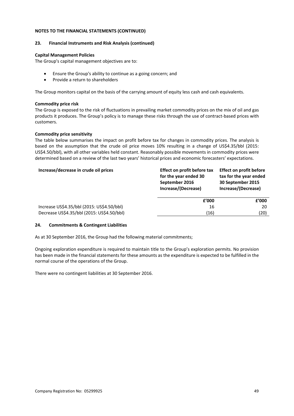## **23. Financial Instruments and Risk Analysis (continued)**

#### **Capital Management Policies**

The Group's capital management objectives are to:

- Ensure the Group's ability to continue as a going concern; and
- Provide a return to shareholders

The Group monitors capital on the basis of the carrying amount of equity less cash and cash equivalents.

#### **Commodity price risk**

The Group is exposed to the risk of fluctuations in prevailing market commodity prices on the mix of oil and gas products it produces. The Group's policy is to manage these risks through the use of contract-based prices with customers.

#### **Commodity price sensitivity**

The table below summarises the impact on profit before tax for changes in commodity prices. The analysis is based on the assumption that the crude oil price moves 10% resulting in a change of US\$4.35/bbl (2015: US\$4.50/bbl), with all other variables held constant. Reasonably possible movements in commodity prices were determined based on a review of the last two years' historical prices and economic forecasters' expectations.

| Increase/decrease in crude oil prices      | Effect on profit before tax<br><b>Effect on profit before</b><br>tax for the year ended<br>for the year ended 30<br>30 September 2015<br>September 2016<br>Increase/(Decrease)<br>Increase/(Decrease) |       |
|--------------------------------------------|-------------------------------------------------------------------------------------------------------------------------------------------------------------------------------------------------------|-------|
|                                            | f'000                                                                                                                                                                                                 | f'000 |
| Increase US\$4.35/bbl (2015: US\$4.50/bbl) | 16                                                                                                                                                                                                    | 20    |
| Decrease US\$4.35/bbl (2015: US\$4.50/bbl) | (16)                                                                                                                                                                                                  | (20)  |

## **24. Commitments & Contingent Liabilities**

As at 30 September 2016, the Group had the following material commitments;

Ongoing exploration expenditure is required to maintain title to the Group's exploration permits. No provision has been made in the financial statements for these amounts as the expenditure is expected to be fulfilled in the normal course of the operations of the Group.

There were no contingent liabilities at 30 September 2016.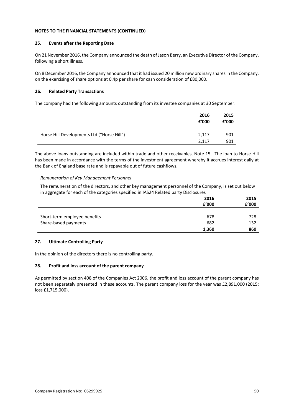#### **25. Events after the Reporting Date**

On 21 November 2016, the Company announced the death of Jason Berry, an Executive Director of the Company, following a short illness.

On 8 December 2016, the Company announced that it had issued 20 million new ordinary shares in the Company, on the exercising of share options at 0.4p per share for cash consideration of £80,000.

## **26. Related Party Transactions**

The company had the following amounts outstanding from its investee companies at 30 September:

|                                            | 2016<br>f'000 | 2015<br>f'000 |
|--------------------------------------------|---------------|---------------|
| Horse Hill Developments Ltd ("Horse Hill") | 2,117         | 901           |
|                                            | 2.117         | 901           |

The above loans outstanding are included within trade and other receivables, Note 15. The loan to Horse Hill has been made in accordance with the terms of the investment agreement whereby it accrues interest daily at the Bank of England base rate and is repayable out of future cashflows.

#### *Remuneration of Key Management Personnel*

The remuneration of the directors, and other key management personnel of the Company, is set out below in aggregate for each of the categories specified in IAS24 Related party Disclosures

|                              | 2016  | 2015  |
|------------------------------|-------|-------|
|                              | £'000 | £'000 |
|                              |       |       |
| Short-term employee benefits | 678   | 728   |
| Share-based payments         | 682   | 132   |
|                              | 1,360 | 860   |

## **27. Ultimate Controlling Party**

In the opinion of the directors there is no controlling party.

#### **28. Profit and loss account of the parent company**

As permitted by section 408 of the Companies Act 2006, the profit and loss account of the parent company has not been separately presented in these accounts. The parent company loss for the year was £2,891,000 (2015: loss £1,715,000).